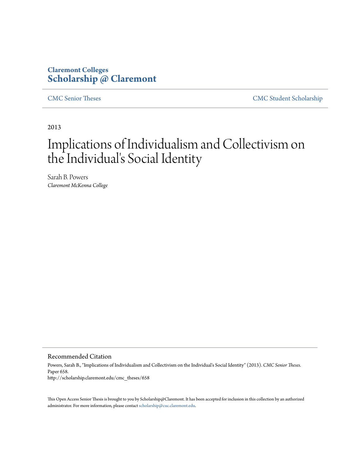## **Claremont Colleges [Scholarship @ Claremont](http://scholarship.claremont.edu)**

[CMC Senior Theses](http://scholarship.claremont.edu/cmc_theses) [CMC Student Scholarship](http://scholarship.claremont.edu/cmc_student)

2013

# Implications of Individualism and Collectivism on the Individual's Social Identity

Sarah B. Powers *Claremont McKenna College*

Recommended Citation

Powers, Sarah B., "Implications of Individualism and Collectivism on the Individual's Social Identity" (2013). *CMC Senior Theses.* Paper 658. http://scholarship.claremont.edu/cmc\_theses/658

This Open Access Senior Thesis is brought to you by Scholarship@Claremont. It has been accepted for inclusion in this collection by an authorized administrator. For more information, please contact [scholarship@cuc.claremont.edu.](mailto:scholarship@cuc.claremont.edu)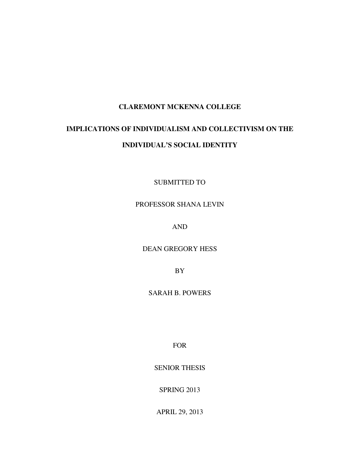#### **CLAREMONT MCKENNA COLLEGE**

## **IMPLICATIONS OF INDIVIDUALISM AND COLLECTIVISM ON THE INDIVIDUAL'S SOCIAL IDENTITY**

SUBMITTED TO

#### PROFESSOR SHANA LEVIN

AND

DEAN GREGORY HESS

BY

SARAH B. POWERS

FOR

SENIOR THESIS

SPRING 2013

APRIL 29, 2013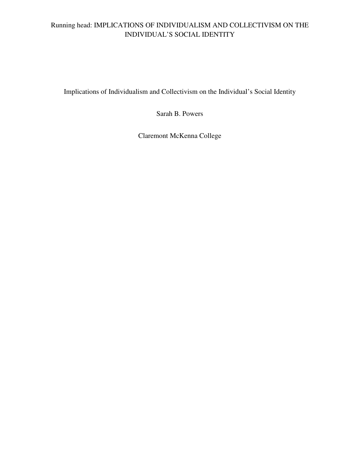### Running head: IMPLICATIONS OF INDIVIDUALISM AND COLLECTIVISM ON THE INDIVIDUAL'S SOCIAL IDENTITY

Implications of Individualism and Collectivism on the Individual's Social Identity

Sarah B. Powers

Claremont McKenna College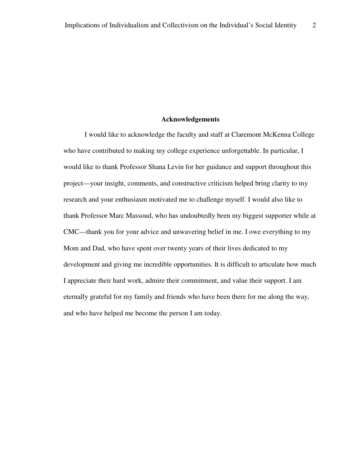#### **Acknowledgements**

I would like to acknowledge the faculty and staff at Claremont McKenna College who have contributed to making my college experience unforgettable. In particular, I would like to thank Professor Shana Levin for her guidance and support throughout this project—your insight, comments, and constructive criticism helped bring clarity to my research and your enthusiasm motivated me to challenge myself. I would also like to thank Professor Marc Massoud, who has undoubtedly been my biggest supporter while at CMC—thank you for your advice and unwavering belief in me. I owe everything to my Mom and Dad, who have spent over twenty years of their lives dedicated to my development and giving me incredible opportunities. It is difficult to articulate how much I appreciate their hard work, admire their commitment, and value their support. I am eternally grateful for my family and friends who have been there for me along the way, and who have helped me become the person I am today.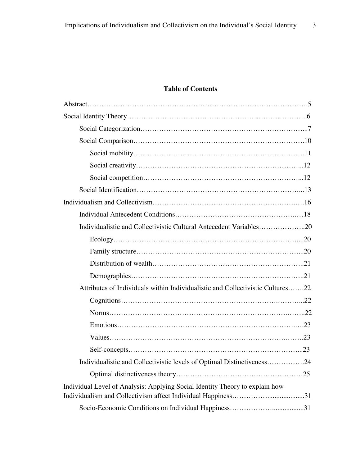### **Table of Contents**

| Individualistic and Collectivistic Cultural Antecedent Variables20             |
|--------------------------------------------------------------------------------|
|                                                                                |
|                                                                                |
|                                                                                |
|                                                                                |
| Attributes of Individuals within Individualistic and Collectivistic Cultures22 |
|                                                                                |
|                                                                                |
|                                                                                |
|                                                                                |
|                                                                                |
| Individualistic and Collectivistic levels of Optimal Distinctiveness24         |
|                                                                                |
| Individual Level of Analysis: Applying Social Identity Theory to explain how   |
|                                                                                |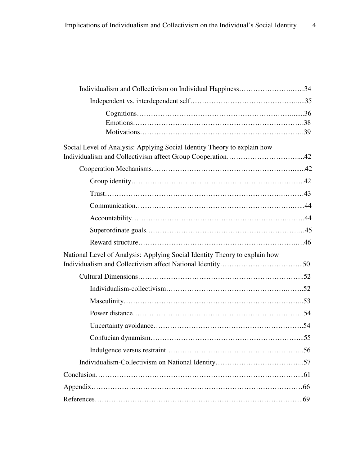| Individualism and Collectivism on Individual Happiness34                   |  |
|----------------------------------------------------------------------------|--|
|                                                                            |  |
|                                                                            |  |
|                                                                            |  |
|                                                                            |  |
| Social Level of Analysis: Applying Social Identity Theory to explain how   |  |
|                                                                            |  |
|                                                                            |  |
|                                                                            |  |
|                                                                            |  |
|                                                                            |  |
|                                                                            |  |
|                                                                            |  |
|                                                                            |  |
| National Level of Analysis: Applying Social Identity Theory to explain how |  |
|                                                                            |  |
|                                                                            |  |
|                                                                            |  |
|                                                                            |  |
|                                                                            |  |
|                                                                            |  |
|                                                                            |  |
|                                                                            |  |
|                                                                            |  |
|                                                                            |  |
|                                                                            |  |
|                                                                            |  |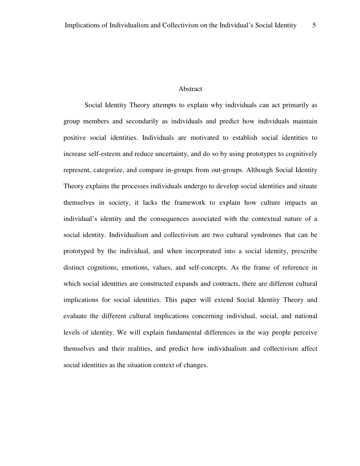#### Abstract

Social Identity Theory attempts to explain why individuals can act primarily as group members and secondarily as individuals and predict how individuals maintain positive social identities. Individuals are motivated to establish social identities to increase self-esteem and reduce uncertainty, and do so by using prototypes to cognitively represent, categorize, and compare in-groups from out-groups. Although Social Identity Theory explains the processes individuals undergo to develop social identities and situate themselves in society, it lacks the framework to explain how culture impacts an individual's identity and the consequences associated with the contextual nature of a social identity. Individualism and collectivism are two cultural syndromes that can be prototyped by the individual, and when incorporated into a social identity, prescribe distinct cognitions, emotions, values, and self-concepts. As the frame of reference in which social identities are constructed expands and contracts, there are different cultural implications for social identities. This paper will extend Social Identity Theory and evaluate the different cultural implications concerning individual, social, and national levels of identity. We will explain fundamental differences in the way people perceive themselves and their realities, and predict how individualism and collectivism affect social identities as the situation context of changes.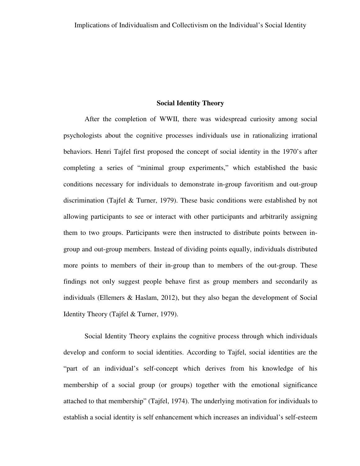#### **Social Identity Theory**

After the completion of WWII, there was widespread curiosity among social psychologists about the cognitive processes individuals use in rationalizing irrational behaviors. Henri Tajfel first proposed the concept of social identity in the 1970's after completing a series of "minimal group experiments," which established the basic conditions necessary for individuals to demonstrate in-group favoritism and out-group discrimination (Tajfel & Turner, 1979). These basic conditions were established by not allowing participants to see or interact with other participants and arbitrarily assigning them to two groups. Participants were then instructed to distribute points between ingroup and out-group members. Instead of dividing points equally, individuals distributed more points to members of their in-group than to members of the out-group. These findings not only suggest people behave first as group members and secondarily as individuals (Ellemers & Haslam, 2012), but they also began the development of Social Identity Theory (Tajfel & Turner, 1979).

Social Identity Theory explains the cognitive process through which individuals develop and conform to social identities. According to Tajfel, social identities are the "part of an individual's self-concept which derives from his knowledge of his membership of a social group (or groups) together with the emotional significance attached to that membership" (Tajfel, 1974). The underlying motivation for individuals to establish a social identity is self enhancement which increases an individual's self-esteem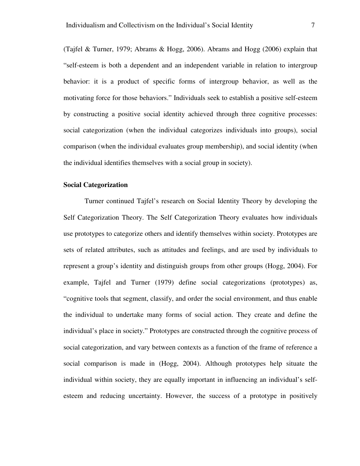(Tajfel & Turner, 1979; Abrams & Hogg, 2006). Abrams and Hogg (2006) explain that "self-esteem is both a dependent and an independent variable in relation to intergroup behavior: it is a product of specific forms of intergroup behavior, as well as the motivating force for those behaviors." Individuals seek to establish a positive self-esteem by constructing a positive social identity achieved through three cognitive processes: social categorization (when the individual categorizes individuals into groups), social comparison (when the individual evaluates group membership), and social identity (when the individual identifies themselves with a social group in society).

#### **Social Categorization**

Turner continued Tajfel's research on Social Identity Theory by developing the Self Categorization Theory. The Self Categorization Theory evaluates how individuals use prototypes to categorize others and identify themselves within society. Prototypes are sets of related attributes, such as attitudes and feelings, and are used by individuals to represent a group's identity and distinguish groups from other groups (Hogg, 2004). For example, Tajfel and Turner (1979) define social categorizations (prototypes) as, "cognitive tools that segment, classify, and order the social environment, and thus enable the individual to undertake many forms of social action. They create and define the individual's place in society." Prototypes are constructed through the cognitive process of social categorization, and vary between contexts as a function of the frame of reference a social comparison is made in (Hogg, 2004). Although prototypes help situate the individual within society, they are equally important in influencing an individual's selfesteem and reducing uncertainty. However, the success of a prototype in positively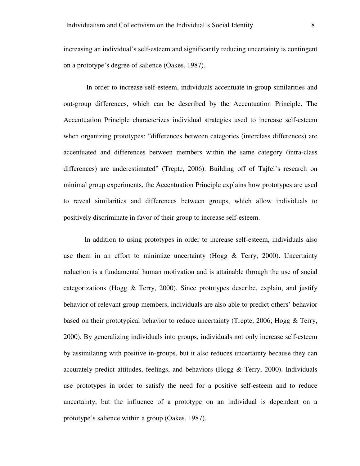increasing an individual's self-esteem and significantly reducing uncertainty is contingent on a prototype's degree of salience (Oakes, 1987).

 In order to increase self-esteem, individuals accentuate in-group similarities and out-group differences, which can be described by the Accentuation Principle. The Accentuation Principle characterizes individual strategies used to increase self-esteem when organizing prototypes: "differences between categories (interclass differences) are accentuated and differences between members within the same category (intra-class differences) are underestimated" (Trepte, 2006). Building off of Tajfel's research on minimal group experiments, the Accentuation Principle explains how prototypes are used to reveal similarities and differences between groups, which allow individuals to positively discriminate in favor of their group to increase self-esteem.

In addition to using prototypes in order to increase self-esteem, individuals also use them in an effort to minimize uncertainty (Hogg  $\&$  Terry, 2000). Uncertainty reduction is a fundamental human motivation and is attainable through the use of social categorizations (Hogg & Terry, 2000). Since prototypes describe, explain, and justify behavior of relevant group members, individuals are also able to predict others' behavior based on their prototypical behavior to reduce uncertainty (Trepte, 2006; Hogg & Terry, 2000). By generalizing individuals into groups, individuals not only increase self-esteem by assimilating with positive in-groups, but it also reduces uncertainty because they can accurately predict attitudes, feelings, and behaviors (Hogg  $\&$  Terry, 2000). Individuals use prototypes in order to satisfy the need for a positive self-esteem and to reduce uncertainty, but the influence of a prototype on an individual is dependent on a prototype's salience within a group (Oakes, 1987).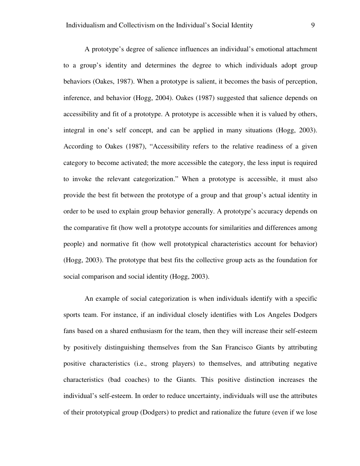A prototype's degree of salience influences an individual's emotional attachment to a group's identity and determines the degree to which individuals adopt group behaviors (Oakes, 1987). When a prototype is salient, it becomes the basis of perception, inference, and behavior (Hogg, 2004). Oakes (1987) suggested that salience depends on accessibility and fit of a prototype. A prototype is accessible when it is valued by others, integral in one's self concept, and can be applied in many situations (Hogg, 2003). According to Oakes (1987), "Accessibility refers to the relative readiness of a given category to become activated; the more accessible the category, the less input is required to invoke the relevant categorization." When a prototype is accessible, it must also provide the best fit between the prototype of a group and that group's actual identity in order to be used to explain group behavior generally. A prototype's accuracy depends on the comparative fit (how well a prototype accounts for similarities and differences among people) and normative fit (how well prototypical characteristics account for behavior) (Hogg, 2003). The prototype that best fits the collective group acts as the foundation for social comparison and social identity (Hogg, 2003).

An example of social categorization is when individuals identify with a specific sports team. For instance, if an individual closely identifies with Los Angeles Dodgers fans based on a shared enthusiasm for the team, then they will increase their self-esteem by positively distinguishing themselves from the San Francisco Giants by attributing positive characteristics (i.e., strong players) to themselves, and attributing negative characteristics (bad coaches) to the Giants. This positive distinction increases the individual's self-esteem. In order to reduce uncertainty, individuals will use the attributes of their prototypical group (Dodgers) to predict and rationalize the future (even if we lose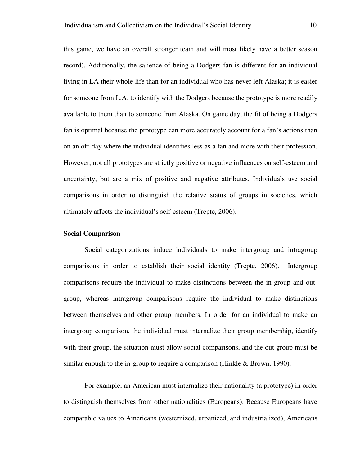this game, we have an overall stronger team and will most likely have a better season record). Additionally, the salience of being a Dodgers fan is different for an individual living in LA their whole life than for an individual who has never left Alaska; it is easier for someone from L.A. to identify with the Dodgers because the prototype is more readily available to them than to someone from Alaska. On game day, the fit of being a Dodgers fan is optimal because the prototype can more accurately account for a fan's actions than on an off-day where the individual identifies less as a fan and more with their profession. However, not all prototypes are strictly positive or negative influences on self-esteem and uncertainty, but are a mix of positive and negative attributes. Individuals use social comparisons in order to distinguish the relative status of groups in societies, which ultimately affects the individual's self-esteem (Trepte, 2006).

#### **Social Comparison**

Social categorizations induce individuals to make intergroup and intragroup comparisons in order to establish their social identity (Trepte, 2006). Intergroup comparisons require the individual to make distinctions between the in-group and outgroup, whereas intragroup comparisons require the individual to make distinctions between themselves and other group members. In order for an individual to make an intergroup comparison, the individual must internalize their group membership, identify with their group, the situation must allow social comparisons, and the out-group must be similar enough to the in-group to require a comparison (Hinkle & Brown, 1990).

For example, an American must internalize their nationality (a prototype) in order to distinguish themselves from other nationalities (Europeans). Because Europeans have comparable values to Americans (westernized, urbanized, and industrialized), Americans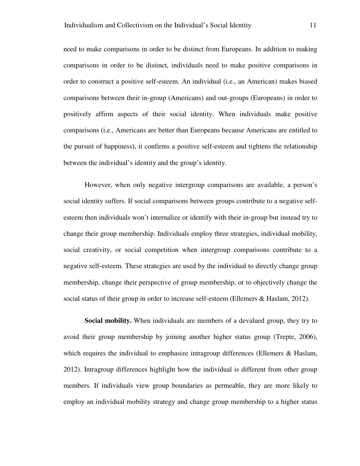need to make comparisons in order to be distinct from Europeans. In addition to making comparisons in order to be distinct, individuals need to make positive comparisons in order to construct a positive self-esteem. An individual (i.e., an American) makes biased comparisons between their in-group (Americans) and out-groups (Europeans) in order to positively affirm aspects of their social identity. When individuals make positive comparisons (i.e., Americans are better than Europeans because Americans are entitled to the pursuit of happiness), it confirms a positive self-esteem and tightens the relationship between the individual's identity and the group's identity.

However, when only negative intergroup comparisons are available, a person's social identity suffers. If social comparisons between groups contribute to a negative selfesteem then individuals won't internalize or identify with their in-group but instead try to change their group membership. Individuals employ three strategies, individual mobility, social creativity, or social competition when intergroup comparisons contribute to a negative self-esteem. These strategies are used by the individual to directly change group membership, change their perspective of group membership, or to objectively change the social status of their group in order to increase self-esteem (Ellemers & Haslam, 2012).

**Social mobility.** When individuals are members of a devalued group, they try to avoid their group membership by joining another higher status group (Trepte, 2006), which requires the individual to emphasize intragroup differences (Ellemers & Haslam, 2012). Intragroup differences highlight how the individual is different from other group members. If individuals view group boundaries as permeable, they are more likely to employ an individual mobility strategy and change group membership to a higher status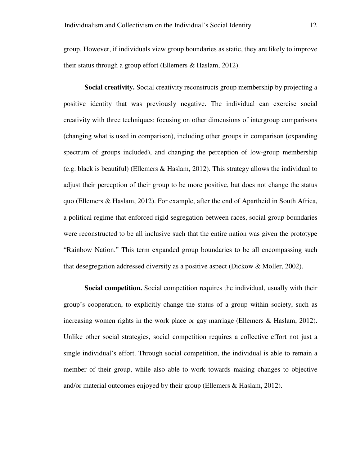group. However, if individuals view group boundaries as static, they are likely to improve their status through a group effort (Ellemers & Haslam, 2012).

**Social creativity.** Social creativity reconstructs group membership by projecting a positive identity that was previously negative. The individual can exercise social creativity with three techniques: focusing on other dimensions of intergroup comparisons (changing what is used in comparison), including other groups in comparison (expanding spectrum of groups included), and changing the perception of low-group membership (e.g. black is beautiful) (Ellemers & Haslam, 2012). This strategy allows the individual to adjust their perception of their group to be more positive, but does not change the status quo (Ellemers & Haslam, 2012). For example, after the end of Apartheid in South Africa, a political regime that enforced rigid segregation between races, social group boundaries were reconstructed to be all inclusive such that the entire nation was given the prototype "Rainbow Nation." This term expanded group boundaries to be all encompassing such that desegregation addressed diversity as a positive aspect (Dickow & Moller, 2002).

**Social competition.** Social competition requires the individual, usually with their group's cooperation, to explicitly change the status of a group within society, such as increasing women rights in the work place or gay marriage (Ellemers & Haslam, 2012). Unlike other social strategies, social competition requires a collective effort not just a single individual's effort. Through social competition, the individual is able to remain a member of their group, while also able to work towards making changes to objective and/or material outcomes enjoyed by their group (Ellemers & Haslam, 2012).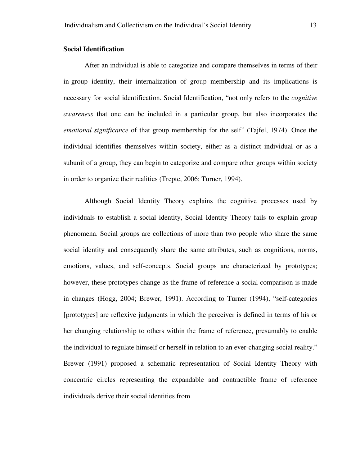#### **Social Identification**

After an individual is able to categorize and compare themselves in terms of their in-group identity, their internalization of group membership and its implications is necessary for social identification. Social Identification, "not only refers to the *cognitive awareness* that one can be included in a particular group, but also incorporates the *emotional significance* of that group membership for the self" (Tajfel, 1974). Once the individual identifies themselves within society, either as a distinct individual or as a subunit of a group, they can begin to categorize and compare other groups within society in order to organize their realities (Trepte, 2006; Turner, 1994).

Although Social Identity Theory explains the cognitive processes used by individuals to establish a social identity, Social Identity Theory fails to explain group phenomena. Social groups are collections of more than two people who share the same social identity and consequently share the same attributes, such as cognitions, norms, emotions, values, and self-concepts. Social groups are characterized by prototypes; however, these prototypes change as the frame of reference a social comparison is made in changes (Hogg, 2004; Brewer, 1991). According to Turner (1994), "self-categories [prototypes] are reflexive judgments in which the perceiver is defined in terms of his or her changing relationship to others within the frame of reference, presumably to enable the individual to regulate himself or herself in relation to an ever-changing social reality." Brewer (1991) proposed a schematic representation of Social Identity Theory with concentric circles representing the expandable and contractible frame of reference individuals derive their social identities from.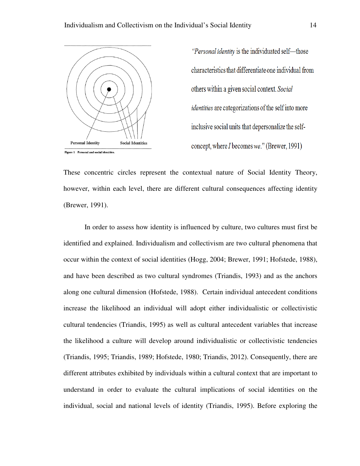

The Individual's Social Identity<br>
"Personal identity is the in<br>
characteristics that differe<br>
others within a given social<br>
identities are categorizatic<br>
inclusive social units that<br>
concept, where I becomes

These concentric circles represent the contextual nature of Social Identity Theory, however, within each level, there are different cultural consequences affecting identity (Brewer, 1991). concentric circles represent the contextual nature of Social Identity Theory,<br>er, within each level, there are different cultural consequences affecting identity<br>r, 1991).<br>In order to assess how identity is influenced by c

In order to assess how identity is influenced by culture, two cultures must first be identified and explained. Individualism and collectivism are two cultural phenomena that occur within the context of social identities (Hogg, 2004; Brewer, 1991; Hofstede, 1988), In order to assess how identity is influenced by culture, two cultures must first be<br>identified and explained. Individualism and collectivism are two cultural phenomena that<br>occur within the context of social identities (H along one cultural dimension (Hofstede, 1988). Certain individual antecedent conditions along one cultural dimension (Hofstede, 1988). Certain individual antecedent conditions<br>increase the likelihood an individual will adopt either individualistic or collectivistic cultural tendencies (Triandis, 1995) 1995) as well as cultural antecedent variables that increase the likelihood a culture will develop around individualistic or collectivistic tendencies the likelihood a culture will develop around individualistic or collectivistic tendencies<br>(Triandis, 1995; Triandis, 1989; Hofstede, 1980; Triandis, 2012). Consequently, there are different attributes exhibited by individuals within a cultural context that are important to understand in order to evaluate the cultural implications of social identities on the understand in order to evaluate the cultural implications of social identities on the<br>individual, social and national levels of identity (Triandis, 1995). Before exploring the well as cultural antecedent variables<br>around individualistic or collectivisti<br>de, 1980; Triandis, 2012). Consequen<br>uals within a cultural context that are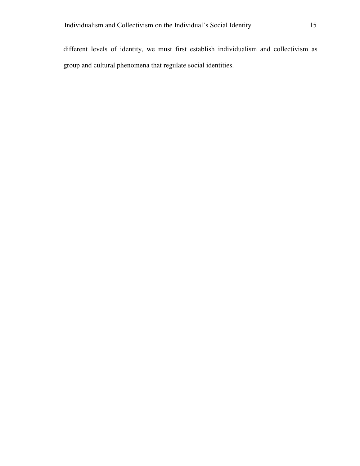different levels of identity, we must first establish individualism and collectivism as group and cultural phenomena that regulate social identities.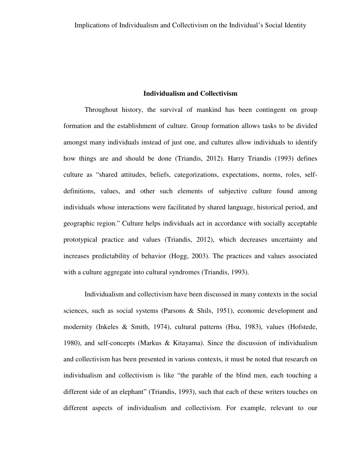#### **Individualism and Collectivism**

Throughout history, the survival of mankind has been contingent on group formation and the establishment of culture. Group formation allows tasks to be divided amongst many individuals instead of just one, and cultures allow individuals to identify how things are and should be done (Triandis, 2012). Harry Triandis (1993) defines culture as "shared attitudes, beliefs, categorizations, expectations, norms, roles, selfdefinitions, values, and other such elements of subjective culture found among individuals whose interactions were facilitated by shared language, historical period, and geographic region." Culture helps individuals act in accordance with socially acceptable prototypical practice and values (Triandis, 2012), which decreases uncertainty and increases predictability of behavior (Hogg, 2003). The practices and values associated with a culture aggregate into cultural syndromes (Triandis, 1993).

Individualism and collectivism have been discussed in many contexts in the social sciences, such as social systems (Parsons & Shils, 1951), economic development and modernity (Inkeles & Smith, 1974), cultural patterns (Hsu, 1983), values (Hofstede, 1980), and self-concepts (Markus & Kitayama). Since the discussion of individualism and collectivism has been presented in various contexts, it must be noted that research on individualism and collectivism is like "the parable of the blind men, each touching a different side of an elephant" (Triandis, 1993), such that each of these writers touches on different aspects of individualism and collectivism. For example, relevant to our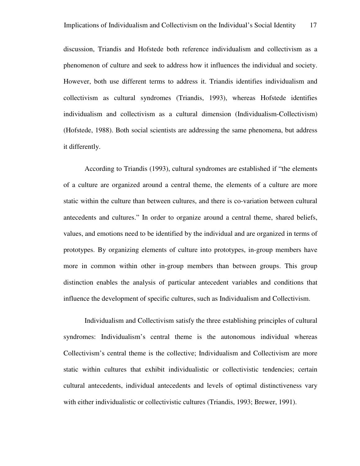discussion, Triandis and Hofstede both reference individualism and collectivism as a phenomenon of culture and seek to address how it influences the individual and society. However, both use different terms to address it. Triandis identifies individualism and collectivism as cultural syndromes (Triandis, 1993), whereas Hofstede identifies individualism and collectivism as a cultural dimension (Individualism-Collectivism) (Hofstede, 1988). Both social scientists are addressing the same phenomena, but address it differently.

According to Triandis (1993), cultural syndromes are established if "the elements of a culture are organized around a central theme, the elements of a culture are more static within the culture than between cultures, and there is co-variation between cultural antecedents and cultures." In order to organize around a central theme, shared beliefs, values, and emotions need to be identified by the individual and are organized in terms of prototypes. By organizing elements of culture into prototypes, in-group members have more in common within other in-group members than between groups. This group distinction enables the analysis of particular antecedent variables and conditions that influence the development of specific cultures, such as Individualism and Collectivism.

Individualism and Collectivism satisfy the three establishing principles of cultural syndromes: Individualism's central theme is the autonomous individual whereas Collectivism's central theme is the collective; Individualism and Collectivism are more static within cultures that exhibit individualistic or collectivistic tendencies; certain cultural antecedents, individual antecedents and levels of optimal distinctiveness vary with either individualistic or collectivistic cultures (Triandis, 1993; Brewer, 1991).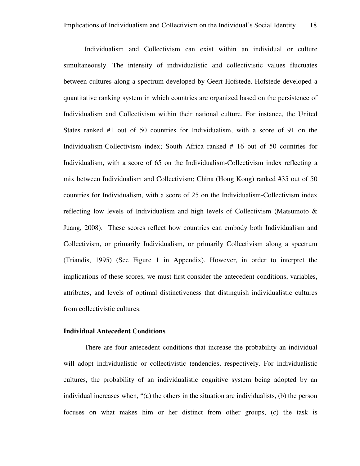Individualism and Collectivism can exist within an individual or culture simultaneously. The intensity of individualistic and collectivistic values fluctuates between cultures along a spectrum developed by Geert Hofstede. Hofstede developed a quantitative ranking system in which countries are organized based on the persistence of Individualism and Collectivism within their national culture. For instance, the United States ranked #1 out of 50 countries for Individualism, with a score of 91 on the Individualism-Collectivism index; South Africa ranked # 16 out of 50 countries for Individualism, with a score of 65 on the Individualism-Collectivism index reflecting a mix between Individualism and Collectivism; China (Hong Kong) ranked #35 out of 50 countries for Individualism, with a score of 25 on the Individualism-Collectivism index reflecting low levels of Individualism and high levels of Collectivism (Matsumoto & Juang, 2008). These scores reflect how countries can embody both Individualism and Collectivism, or primarily Individualism, or primarily Collectivism along a spectrum (Triandis, 1995) (See Figure 1 in Appendix). However, in order to interpret the implications of these scores, we must first consider the antecedent conditions, variables, attributes, and levels of optimal distinctiveness that distinguish individualistic cultures from collectivistic cultures.

#### **Individual Antecedent Conditions**

There are four antecedent conditions that increase the probability an individual will adopt individualistic or collectivistic tendencies, respectively. For individualistic cultures, the probability of an individualistic cognitive system being adopted by an individual increases when, "(a) the others in the situation are individualists, (b) the person focuses on what makes him or her distinct from other groups, (c) the task is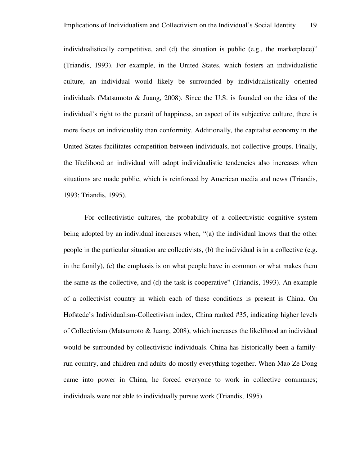individualistically competitive, and (d) the situation is public (e.g., the marketplace)" (Triandis, 1993). For example, in the United States, which fosters an individualistic culture, an individual would likely be surrounded by individualistically oriented individuals (Matsumoto  $\&$  Juang, 2008). Since the U.S. is founded on the idea of the individual's right to the pursuit of happiness, an aspect of its subjective culture, there is more focus on individuality than conformity. Additionally, the capitalist economy in the United States facilitates competition between individuals, not collective groups. Finally, the likelihood an individual will adopt individualistic tendencies also increases when situations are made public, which is reinforced by American media and news (Triandis, 1993; Triandis, 1995).

For collectivistic cultures, the probability of a collectivistic cognitive system being adopted by an individual increases when, "(a) the individual knows that the other people in the particular situation are collectivists, (b) the individual is in a collective (e.g. in the family), (c) the emphasis is on what people have in common or what makes them the same as the collective, and (d) the task is cooperative" (Triandis, 1993). An example of a collectivist country in which each of these conditions is present is China. On Hofstede's Individualism-Collectivism index, China ranked #35, indicating higher levels of Collectivism (Matsumoto & Juang, 2008), which increases the likelihood an individual would be surrounded by collectivistic individuals. China has historically been a familyrun country, and children and adults do mostly everything together. When Mao Ze Dong came into power in China, he forced everyone to work in collective communes; individuals were not able to individually pursue work (Triandis, 1995).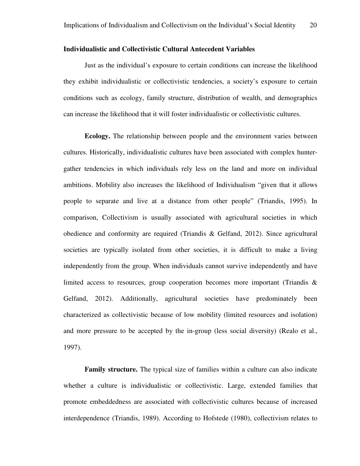#### **Individualistic and Collectivistic Cultural Antecedent Variables**

Just as the individual's exposure to certain conditions can increase the likelihood they exhibit individualistic or collectivistic tendencies, a society's exposure to certain conditions such as ecology, family structure, distribution of wealth, and demographics can increase the likelihood that it will foster individualistic or collectivistic cultures.

**Ecology.** The relationship between people and the environment varies between cultures. Historically, individualistic cultures have been associated with complex huntergather tendencies in which individuals rely less on the land and more on individual ambitions. Mobility also increases the likelihood of Individualism "given that it allows people to separate and live at a distance from other people" (Triandis, 1995). In comparison, Collectivism is usually associated with agricultural societies in which obedience and conformity are required (Triandis & Gelfand, 2012). Since agricultural societies are typically isolated from other societies, it is difficult to make a living independently from the group. When individuals cannot survive independently and have limited access to resources, group cooperation becomes more important (Triandis  $\&$ Gelfand, 2012). Additionally, agricultural societies have predominately been characterized as collectivistic because of low mobility (limited resources and isolation) and more pressure to be accepted by the in-group (less social diversity) (Realo et al., 1997).

**Family structure.** The typical size of families within a culture can also indicate whether a culture is individualistic or collectivistic. Large, extended families that promote embeddedness are associated with collectivistic cultures because of increased interdependence (Triandis, 1989). According to Hofstede (1980), collectivism relates to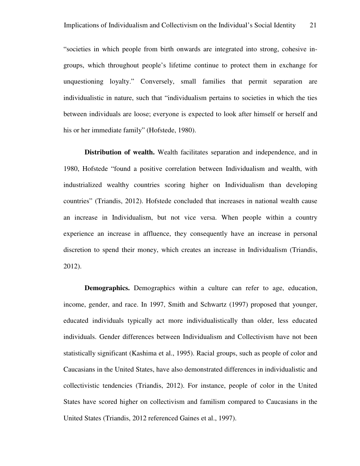"societies in which people from birth onwards are integrated into strong, cohesive ingroups, which throughout people's lifetime continue to protect them in exchange for unquestioning loyalty." Conversely, small families that permit separation are individualistic in nature, such that "individualism pertains to societies in which the ties between individuals are loose; everyone is expected to look after himself or herself and his or her immediate family" (Hofstede, 1980).

**Distribution of wealth.** Wealth facilitates separation and independence, and in 1980, Hofstede "found a positive correlation between Individualism and wealth, with industrialized wealthy countries scoring higher on Individualism than developing countries" (Triandis, 2012). Hofstede concluded that increases in national wealth cause an increase in Individualism, but not vice versa. When people within a country experience an increase in affluence, they consequently have an increase in personal discretion to spend their money, which creates an increase in Individualism (Triandis, 2012).

**Demographics.** Demographics within a culture can refer to age, education, income, gender, and race. In 1997, Smith and Schwartz (1997) proposed that younger, educated individuals typically act more individualistically than older, less educated individuals. Gender differences between Individualism and Collectivism have not been statistically significant (Kashima et al., 1995). Racial groups, such as people of color and Caucasians in the United States, have also demonstrated differences in individualistic and collectivistic tendencies (Triandis, 2012). For instance, people of color in the United States have scored higher on collectivism and familism compared to Caucasians in the United States (Triandis, 2012 referenced Gaines et al., 1997).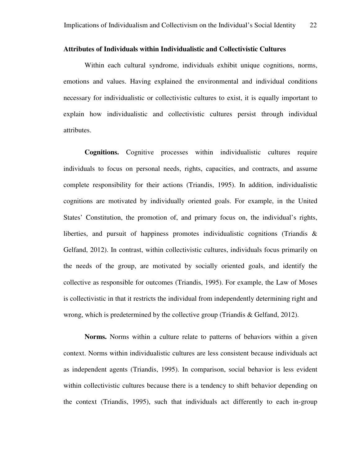#### **Attributes of Individuals within Individualistic and Collectivistic Cultures**

Within each cultural syndrome, individuals exhibit unique cognitions, norms, emotions and values. Having explained the environmental and individual conditions necessary for individualistic or collectivistic cultures to exist, it is equally important to explain how individualistic and collectivistic cultures persist through individual attributes.

**Cognitions.** Cognitive processes within individualistic cultures require individuals to focus on personal needs, rights, capacities, and contracts, and assume complete responsibility for their actions (Triandis, 1995). In addition, individualistic cognitions are motivated by individually oriented goals. For example, in the United States' Constitution, the promotion of, and primary focus on, the individual's rights, liberties, and pursuit of happiness promotes individualistic cognitions (Triandis  $\&$ Gelfand, 2012). In contrast, within collectivistic cultures, individuals focus primarily on the needs of the group, are motivated by socially oriented goals, and identify the collective as responsible for outcomes (Triandis, 1995). For example, the Law of Moses is collectivistic in that it restricts the individual from independently determining right and wrong, which is predetermined by the collective group (Triandis & Gelfand, 2012).

**Norms.** Norms within a culture relate to patterns of behaviors within a given context. Norms within individualistic cultures are less consistent because individuals act as independent agents (Triandis, 1995). In comparison, social behavior is less evident within collectivistic cultures because there is a tendency to shift behavior depending on the context (Triandis, 1995), such that individuals act differently to each in-group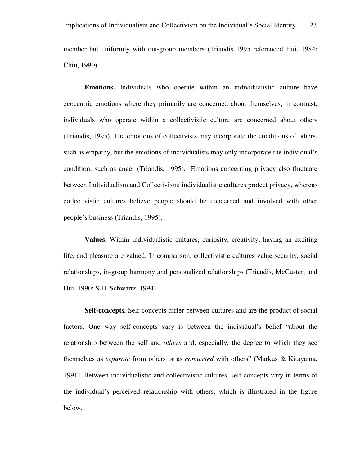member but uniformly with out-group members (Triandis 1995 referenced Hui, 1984; Chiu, 1990).

**Emotions.** Individuals who operate within an individualistic culture have egocentric emotions where they primarily are concerned about themselves; in contrast, individuals who operate within a collectivistic culture are concerned about others (Triandis, 1995). The emotions of collectivists may incorporate the conditions of others, such as empathy, but the emotions of individualists may only incorporate the individual's condition, such as anger (Triandis, 1995). Emotions concerning privacy also fluctuate between Individualism and Collectivism; individualistic cultures protect privacy, whereas collectivistic cultures believe people should be concerned and involved with other people's business (Triandis, 1995).

**Values.** Within individualistic cultures, curiosity, creativity, having an exciting life, and pleasure are valued. In comparison, collectivistic cultures value security, social relationships, in-group harmony and personalized relationships (Triandis, McCuster, and Hui, 1990; S.H. Schwartz, 1994).

**Self-concepts.** Self-concepts differ between cultures and are the product of social factors. One way self-concepts vary is between the individual's belief "about the relationship between the self and *others* and, especially, the degree to which they see themselves as *separate* from others or as *connected* with others" (Markus & Kitayama, 1991). Between individualistic and collectivistic cultures, self-concepts vary in terms of the individual's perceived relationship with others, which is illustrated in the figure below.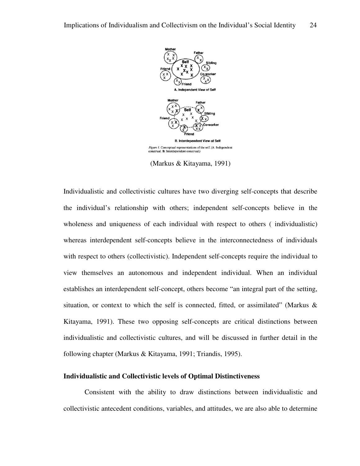

(Markus & Kitayama, 1991)

Individualistic and collectivistic cultures have two diverging self-concepts that describe the individual's relationship with others; independent self-concepts believe in the wholeness and uniqueness of each individual with respect to others ( individualistic) whereas interdependent self-concepts believe in the interconnectedness of individuals with respect to others (collectivistic). Independent self-concepts require the individual to view themselves an autonomous and independent individual. When an individual establishes an interdependent self-concept, others become "an integral part of the setting, situation, or context to which the self is connected, fitted, or assimilated" (Markus & Kitayama, 1991). These two opposing self-concepts are critical distinctions between individualistic and collectivistic cultures, and will be discussed in further detail in the following chapter (Markus & Kitayama, 1991; Triandis, 1995).

#### **Individualistic and Collectivistic levels of Optimal Distinctiveness**

Consistent with the ability to draw distinctions between individualistic and collectivistic antecedent conditions, variables, and attitudes, we are also able to determine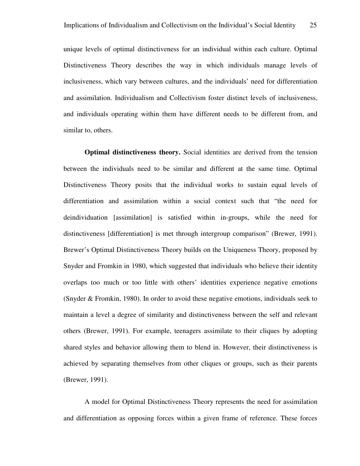unique levels of optimal distinctiveness for an individual within each culture. Optimal Distinctiveness Theory describes the way in which individuals manage levels of inclusiveness, which vary between cultures, and the individuals' need for differentiation and assimilation. Individualism and Collectivism foster distinct levels of inclusiveness, and individuals operating within them have different needs to be different from, and similar to, others.

**Optimal distinctiveness theory.** Social identities are derived from the tension between the individuals need to be similar and different at the same time. Optimal Distinctiveness Theory posits that the individual works to sustain equal levels of differentiation and assimilation within a social context such that "the need for deindividuation [assimilation] is satisfied within in-groups, while the need for distinctiveness [differentiation] is met through intergroup comparison" (Brewer, 1991). Brewer's Optimal Distinctiveness Theory builds on the Uniqueness Theory, proposed by Snyder and Fromkin in 1980, which suggested that individuals who believe their identity overlaps too much or too little with others' identities experience negative emotions (Snyder & Fromkin, 1980). In order to avoid these negative emotions, individuals seek to maintain a level a degree of similarity and distinctiveness between the self and relevant others (Brewer, 1991). For example, teenagers assimilate to their cliques by adopting shared styles and behavior allowing them to blend in. However, their distinctiveness is achieved by separating themselves from other cliques or groups, such as their parents (Brewer, 1991).

A model for Optimal Distinctiveness Theory represents the need for assimilation and differentiation as opposing forces within a given frame of reference. These forces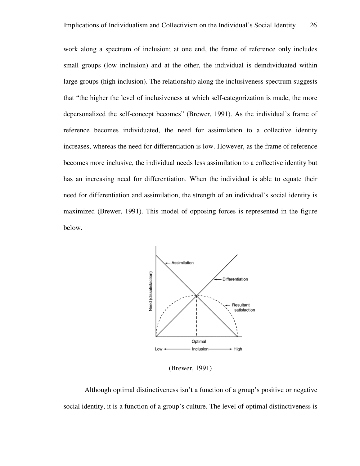work along a spectrum of inclusion; at one end, the frame of reference only includes small groups (low inclusion) and at the other, the individual is deindividuated within large groups (high inclusion). The relationship along the inclusiveness spectrum suggests that "the higher the level of inclusiveness at which self-categorization is made, the more depersonalized the self-concept becomes" (Brewer, 1991). As the individual's frame of reference becomes individuated, the need for assimilation to a collective identity increases, whereas the need for differentiation is low. However, as the frame of reference becomes more inclusive, the individual needs less assimilation to a collective identity but has an increasing need for differentiation. When the individual is able to equate their need for differentiation and assimilation, the strength of an individual's social identity is maximized (Brewer, 1991). This model of opposing forces is represented in the figure below.



(Brewer, 1991)

Although optimal distinctiveness isn't a function of a group's positive or negative social identity, it is a function of a group's culture. The level of optimal distinctiveness is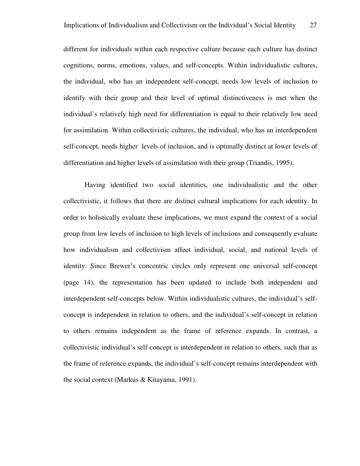different for individuals within each respective culture because each culture has distinct cognitions, norms, emotions, values, and self-concepts. Within individualistic cultures, the individual, who has an independent self-concept, needs low levels of inclusion to identify with their group and their level of optimal distinctiveness is met when the individual's relatively high need for differentiation is equal to their relatively low need for assimilation. Within collectivistic cultures, the individual, who has an interdependent self-concept, needs higher levels of inclusion, and is optimally distinct at lower levels of differentiation and higher levels of assimilation with their group (Triandis, 1995).

Having identified two social identities, one individualistic and the other collectivistic, it follows that there are distinct cultural implications for each identity. In order to holistically evaluate these implications, we must expand the context of a social group from low levels of inclusion to high levels of inclusions and consequently evaluate how individualism and collectivism affect individual, social, and national levels of identity. Since Brewer's concentric circles only represent one universal self-concept (page 14), the representation has been updated to include both independent and interdependent self-concepts below. Within individualistic cultures, the individual's selfconcept is independent in relation to others, and the individual's self-concept in relation to others remains independent as the frame of reference expands. In contrast, a collectivistic individual's self-concept is interdependent in relation to others, such that as the frame of reference expands, the individual's self-concept remains interdependent with the social context (Markus & Kitayama, 1991).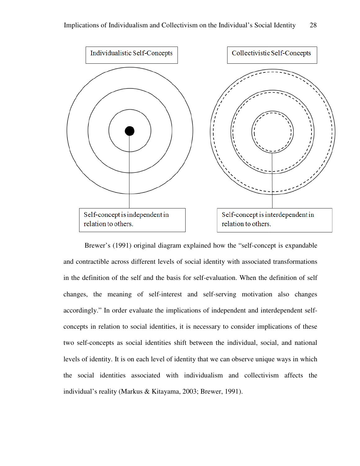

Brewer's (1991) original diagram explained how the "self-concept is expandable and contractible across different levels of social identity with associated transformations in the definition of the self and the basis for self-evaluation. When the definition of self changes, the meaning of self-interest and self-serving motivation also changes accordingly." In order evaluate the implications of independent and interdependent self concepts in relation to social identities, it is necessary to consider implications of these two self-concepts as social identities shift between the individual, social, and national levels of identity. It is on each level of identity that we can observe unique ways in which the social identities associated with individualism and collectivism affects the individual's reality (Markus & Kitayama, 2003; Brewer, 1991). concept is expandable<br>s of social identity with associated transformations<br>asis for self-evaluation. When the definition of self<br>rest and self-serving motivation also changes<br>oplications of independent and interdependent s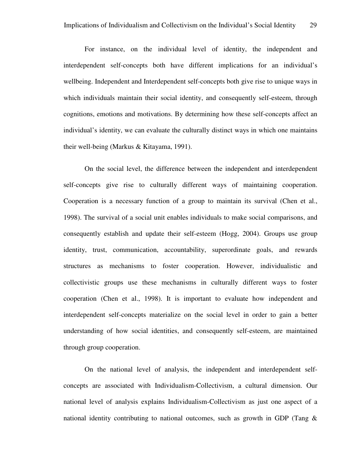For instance, on the individual level of identity, the independent and interdependent self-concepts both have different implications for an individual's wellbeing. Independent and Interdependent self-concepts both give rise to unique ways in which individuals maintain their social identity, and consequently self-esteem, through cognitions, emotions and motivations. By determining how these self-concepts affect an individual's identity, we can evaluate the culturally distinct ways in which one maintains their well-being (Markus & Kitayama, 1991).

On the social level, the difference between the independent and interdependent self-concepts give rise to culturally different ways of maintaining cooperation. Cooperation is a necessary function of a group to maintain its survival (Chen et al., 1998). The survival of a social unit enables individuals to make social comparisons, and consequently establish and update their self-esteem (Hogg, 2004). Groups use group identity, trust, communication, accountability, superordinate goals, and rewards structures as mechanisms to foster cooperation. However, individualistic and collectivistic groups use these mechanisms in culturally different ways to foster cooperation (Chen et al., 1998). It is important to evaluate how independent and interdependent self-concepts materialize on the social level in order to gain a better understanding of how social identities, and consequently self-esteem, are maintained through group cooperation.

On the national level of analysis, the independent and interdependent selfconcepts are associated with Individualism-Collectivism, a cultural dimension. Our national level of analysis explains Individualism-Collectivism as just one aspect of a national identity contributing to national outcomes, such as growth in GDP (Tang  $\&$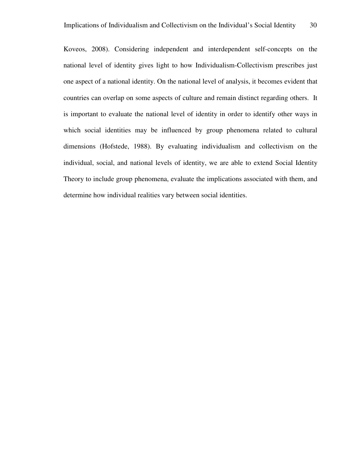Koveos, 2008). Considering independent and interdependent self-concepts on the national level of identity gives light to how Individualism-Collectivism prescribes just one aspect of a national identity. On the national level of analysis, it becomes evident that countries can overlap on some aspects of culture and remain distinct regarding others. It is important to evaluate the national level of identity in order to identify other ways in which social identities may be influenced by group phenomena related to cultural dimensions (Hofstede, 1988). By evaluating individualism and collectivism on the individual, social, and national levels of identity, we are able to extend Social Identity Theory to include group phenomena, evaluate the implications associated with them, and determine how individual realities vary between social identities.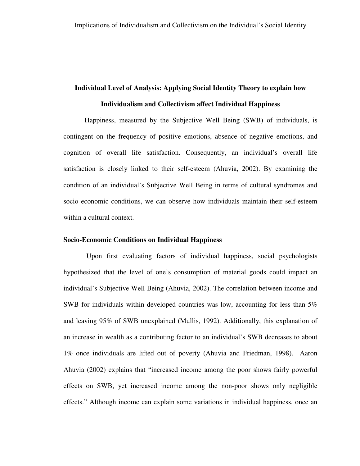## **Individual Level of Analysis: Applying Social Identity Theory to explain how Individualism and Collectivism affect Individual Happiness**

Happiness, measured by the Subjective Well Being (SWB) of individuals, is contingent on the frequency of positive emotions, absence of negative emotions, and cognition of overall life satisfaction. Consequently, an individual's overall life satisfaction is closely linked to their self-esteem (Ahuvia, 2002). By examining the condition of an individual's Subjective Well Being in terms of cultural syndromes and socio economic conditions, we can observe how individuals maintain their self-esteem within a cultural context.

#### **Socio-Economic Conditions on Individual Happiness**

 Upon first evaluating factors of individual happiness, social psychologists hypothesized that the level of one's consumption of material goods could impact an individual's Subjective Well Being (Ahuvia, 2002). The correlation between income and SWB for individuals within developed countries was low, accounting for less than 5% and leaving 95% of SWB unexplained (Mullis, 1992). Additionally, this explanation of an increase in wealth as a contributing factor to an individual's SWB decreases to about 1% once individuals are lifted out of poverty (Ahuvia and Friedman, 1998). Aaron Ahuvia (2002) explains that "increased income among the poor shows fairly powerful effects on SWB, yet increased income among the non-poor shows only negligible effects." Although income can explain some variations in individual happiness, once an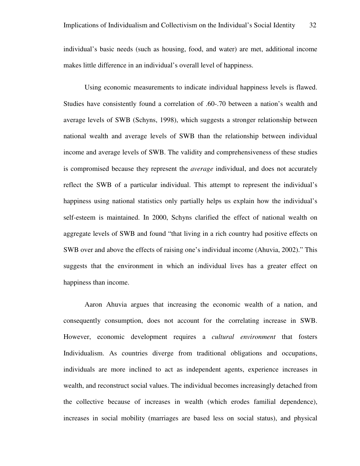individual's basic needs (such as housing, food, and water) are met, additional income makes little difference in an individual's overall level of happiness.

Using economic measurements to indicate individual happiness levels is flawed. Studies have consistently found a correlation of .60-.70 between a nation's wealth and average levels of SWB (Schyns, 1998), which suggests a stronger relationship between national wealth and average levels of SWB than the relationship between individual income and average levels of SWB. The validity and comprehensiveness of these studies is compromised because they represent the *average* individual, and does not accurately reflect the SWB of a particular individual. This attempt to represent the individual's happiness using national statistics only partially helps us explain how the individual's self-esteem is maintained. In 2000, Schyns clarified the effect of national wealth on aggregate levels of SWB and found "that living in a rich country had positive effects on SWB over and above the effects of raising one's individual income (Ahuvia, 2002)." This suggests that the environment in which an individual lives has a greater effect on happiness than income.

Aaron Ahuvia argues that increasing the economic wealth of a nation, and consequently consumption, does not account for the correlating increase in SWB. However, economic development requires a *cultural environment* that fosters Individualism. As countries diverge from traditional obligations and occupations, individuals are more inclined to act as independent agents, experience increases in wealth, and reconstruct social values. The individual becomes increasingly detached from the collective because of increases in wealth (which erodes familial dependence), increases in social mobility (marriages are based less on social status), and physical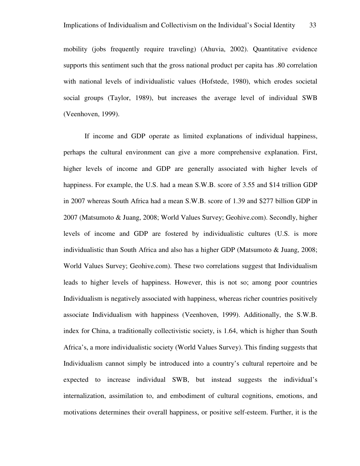mobility (jobs frequently require traveling) (Ahuvia, 2002). Quantitative evidence supports this sentiment such that the gross national product per capita has .80 correlation with national levels of individualistic values (Hofstede, 1980), which erodes societal social groups (Taylor, 1989), but increases the average level of individual SWB (Veenhoven, 1999).

If income and GDP operate as limited explanations of individual happiness, perhaps the cultural environment can give a more comprehensive explanation. First, higher levels of income and GDP are generally associated with higher levels of happiness. For example, the U.S. had a mean S.W.B. score of 3.55 and \$14 trillion GDP in 2007 whereas South Africa had a mean S.W.B. score of 1.39 and \$277 billion GDP in 2007 (Matsumoto & Juang, 2008; World Values Survey; Geohive.com). Secondly, higher levels of income and GDP are fostered by individualistic cultures (U.S. is more individualistic than South Africa and also has a higher GDP (Matsumoto & Juang, 2008; World Values Survey; Geohive.com). These two correlations suggest that Individualism leads to higher levels of happiness. However, this is not so; among poor countries Individualism is negatively associated with happiness, whereas richer countries positively associate Individualism with happiness (Veenhoven, 1999). Additionally, the S.W.B. index for China, a traditionally collectivistic society, is 1.64, which is higher than South Africa's, a more individualistic society (World Values Survey). This finding suggests that Individualism cannot simply be introduced into a country's cultural repertoire and be expected to increase individual SWB, but instead suggests the individual's internalization, assimilation to, and embodiment of cultural cognitions, emotions, and motivations determines their overall happiness, or positive self-esteem. Further, it is the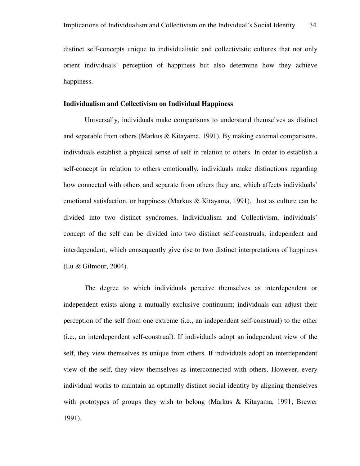distinct self-concepts unique to individualistic and collectivistic cultures that not only orient individuals' perception of happiness but also determine how they achieve happiness.

### **Individualism and Collectivism on Individual Happiness**

Universally, individuals make comparisons to understand themselves as distinct and separable from others (Markus & Kitayama, 1991). By making external comparisons, individuals establish a physical sense of self in relation to others. In order to establish a self-concept in relation to others emotionally, individuals make distinctions regarding how connected with others and separate from others they are, which affects individuals' emotional satisfaction, or happiness (Markus & Kitayama, 1991). Just as culture can be divided into two distinct syndromes, Individualism and Collectivism, individuals' concept of the self can be divided into two distinct self-construals, independent and interdependent, which consequently give rise to two distinct interpretations of happiness (Lu & Gilmour, 2004).

The degree to which individuals perceive themselves as interdependent or independent exists along a mutually exclusive continuum; individuals can adjust their perception of the self from one extreme (i.e., an independent self-construal) to the other (i.e., an interdependent self-construal). If individuals adopt an independent view of the self, they view themselves as unique from others. If individuals adopt an interdependent view of the self, they view themselves as interconnected with others. However, every individual works to maintain an optimally distinct social identity by aligning themselves with prototypes of groups they wish to belong (Markus & Kitayama, 1991; Brewer 1991).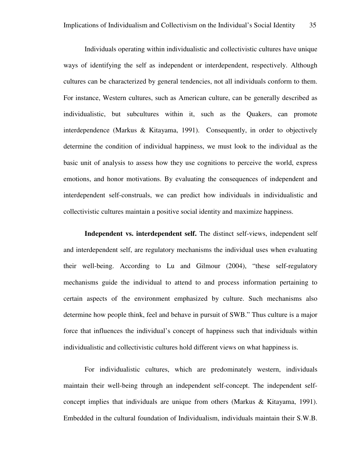Individuals operating within individualistic and collectivistic cultures have unique ways of identifying the self as independent or interdependent, respectively. Although cultures can be characterized by general tendencies, not all individuals conform to them. For instance, Western cultures, such as American culture, can be generally described as individualistic, but subcultures within it, such as the Quakers, can promote interdependence (Markus & Kitayama, 1991). Consequently, in order to objectively determine the condition of individual happiness, we must look to the individual as the basic unit of analysis to assess how they use cognitions to perceive the world, express emotions, and honor motivations. By evaluating the consequences of independent and interdependent self-construals, we can predict how individuals in individualistic and collectivistic cultures maintain a positive social identity and maximize happiness.

**Independent vs. interdependent self.** The distinct self-views, independent self and interdependent self, are regulatory mechanisms the individual uses when evaluating their well-being. According to Lu and Gilmour (2004), "these self-regulatory mechanisms guide the individual to attend to and process information pertaining to certain aspects of the environment emphasized by culture. Such mechanisms also determine how people think, feel and behave in pursuit of SWB." Thus culture is a major force that influences the individual's concept of happiness such that individuals within individualistic and collectivistic cultures hold different views on what happiness is.

For individualistic cultures, which are predominately western, individuals maintain their well-being through an independent self-concept. The independent selfconcept implies that individuals are unique from others (Markus & Kitayama, 1991). Embedded in the cultural foundation of Individualism, individuals maintain their S.W.B.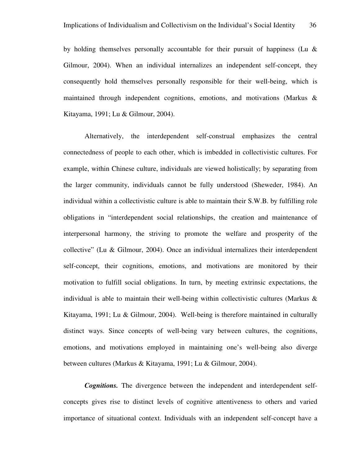by holding themselves personally accountable for their pursuit of happiness (Lu  $\&$ Gilmour, 2004). When an individual internalizes an independent self-concept, they consequently hold themselves personally responsible for their well-being, which is maintained through independent cognitions, emotions, and motivations (Markus & Kitayama, 1991; Lu & Gilmour, 2004).

Alternatively, the interdependent self-construal emphasizes the central connectedness of people to each other, which is imbedded in collectivistic cultures. For example, within Chinese culture, individuals are viewed holistically; by separating from the larger community, individuals cannot be fully understood (Sheweder, 1984). An individual within a collectivistic culture is able to maintain their S.W.B. by fulfilling role obligations in "interdependent social relationships, the creation and maintenance of interpersonal harmony, the striving to promote the welfare and prosperity of the collective" (Lu & Gilmour, 2004). Once an individual internalizes their interdependent self-concept, their cognitions, emotions, and motivations are monitored by their motivation to fulfill social obligations. In turn, by meeting extrinsic expectations, the individual is able to maintain their well-being within collectivistic cultures (Markus & Kitayama, 1991; Lu & Gilmour, 2004). Well-being is therefore maintained in culturally distinct ways. Since concepts of well-being vary between cultures, the cognitions, emotions, and motivations employed in maintaining one's well-being also diverge between cultures (Markus & Kitayama, 1991; Lu & Gilmour, 2004).

*Cognitions.* The divergence between the independent and interdependent selfconcepts gives rise to distinct levels of cognitive attentiveness to others and varied importance of situational context. Individuals with an independent self-concept have a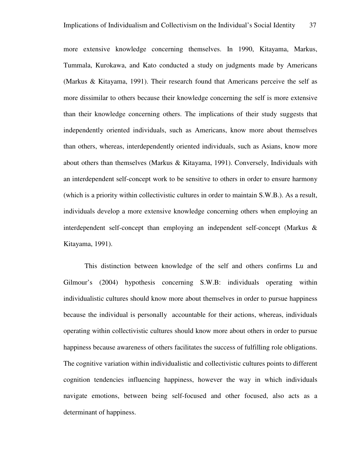more extensive knowledge concerning themselves. In 1990, Kitayama, Markus, Tummala, Kurokawa, and Kato conducted a study on judgments made by Americans (Markus & Kitayama, 1991). Their research found that Americans perceive the self as more dissimilar to others because their knowledge concerning the self is more extensive than their knowledge concerning others. The implications of their study suggests that independently oriented individuals, such as Americans, know more about themselves than others, whereas, interdependently oriented individuals, such as Asians, know more about others than themselves (Markus & Kitayama, 1991). Conversely, Individuals with an interdependent self-concept work to be sensitive to others in order to ensure harmony (which is a priority within collectivistic cultures in order to maintain S.W.B.). As a result, individuals develop a more extensive knowledge concerning others when employing an interdependent self-concept than employing an independent self-concept (Markus & Kitayama, 1991).

This distinction between knowledge of the self and others confirms Lu and Gilmour's (2004) hypothesis concerning S.W.B: individuals operating within individualistic cultures should know more about themselves in order to pursue happiness because the individual is personally accountable for their actions, whereas, individuals operating within collectivistic cultures should know more about others in order to pursue happiness because awareness of others facilitates the success of fulfilling role obligations. The cognitive variation within individualistic and collectivistic cultures points to different cognition tendencies influencing happiness, however the way in which individuals navigate emotions, between being self-focused and other focused, also acts as a determinant of happiness.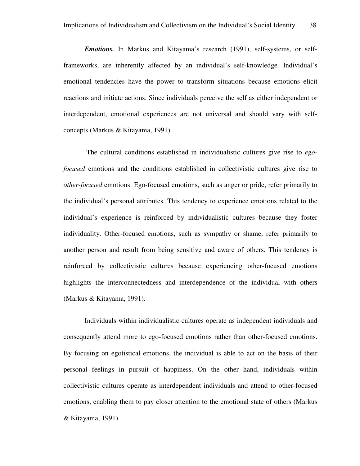*Emotions.* In Markus and Kitayama's research (1991), self-systems, or selfframeworks, are inherently affected by an individual's self-knowledge. Individual's emotional tendencies have the power to transform situations because emotions elicit reactions and initiate actions. Since individuals perceive the self as either independent or interdependent, emotional experiences are not universal and should vary with selfconcepts (Markus & Kitayama, 1991).

 The cultural conditions established in individualistic cultures give rise to *egofocused* emotions and the conditions established in collectivistic cultures give rise to *other-focused* emotions. Ego-focused emotions, such as anger or pride, refer primarily to the individual's personal attributes. This tendency to experience emotions related to the individual's experience is reinforced by individualistic cultures because they foster individuality. Other-focused emotions, such as sympathy or shame, refer primarily to another person and result from being sensitive and aware of others. This tendency is reinforced by collectivistic cultures because experiencing other-focused emotions highlights the interconnectedness and interdependence of the individual with others (Markus & Kitayama, 1991).

Individuals within individualistic cultures operate as independent individuals and consequently attend more to ego-focused emotions rather than other-focused emotions. By focusing on egotistical emotions, the individual is able to act on the basis of their personal feelings in pursuit of happiness. On the other hand, individuals within collectivistic cultures operate as interdependent individuals and attend to other-focused emotions, enabling them to pay closer attention to the emotional state of others (Markus & Kitayama, 1991).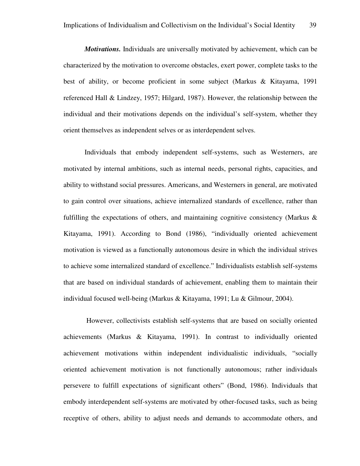*Motivations.* Individuals are universally motivated by achievement, which can be characterized by the motivation to overcome obstacles, exert power, complete tasks to the best of ability, or become proficient in some subject (Markus & Kitayama, 1991 referenced Hall & Lindzey, 1957; Hilgard, 1987). However, the relationship between the individual and their motivations depends on the individual's self-system, whether they orient themselves as independent selves or as interdependent selves.

Individuals that embody independent self-systems, such as Westerners, are motivated by internal ambitions, such as internal needs, personal rights, capacities, and ability to withstand social pressures. Americans, and Westerners in general, are motivated to gain control over situations, achieve internalized standards of excellence, rather than fulfilling the expectations of others, and maintaining cognitive consistency (Markus  $\&$ Kitayama, 1991). According to Bond (1986), "individually oriented achievement motivation is viewed as a functionally autonomous desire in which the individual strives to achieve some internalized standard of excellence." Individualists establish self-systems that are based on individual standards of achievement, enabling them to maintain their individual focused well-being (Markus & Kitayama, 1991; Lu & Gilmour, 2004).

 However, collectivists establish self-systems that are based on socially oriented achievements (Markus & Kitayama, 1991). In contrast to individually oriented achievement motivations within independent individualistic individuals, "socially oriented achievement motivation is not functionally autonomous; rather individuals persevere to fulfill expectations of significant others" (Bond, 1986). Individuals that embody interdependent self-systems are motivated by other-focused tasks, such as being receptive of others, ability to adjust needs and demands to accommodate others, and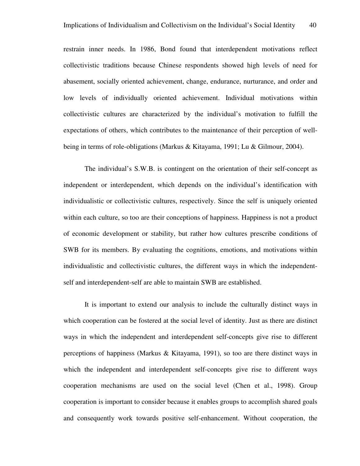restrain inner needs. In 1986, Bond found that interdependent motivations reflect collectivistic traditions because Chinese respondents showed high levels of need for abasement, socially oriented achievement, change, endurance, nurturance, and order and low levels of individually oriented achievement. Individual motivations within collectivistic cultures are characterized by the individual's motivation to fulfill the expectations of others, which contributes to the maintenance of their perception of wellbeing in terms of role-obligations (Markus & Kitayama, 1991; Lu & Gilmour, 2004).

The individual's S.W.B. is contingent on the orientation of their self-concept as independent or interdependent, which depends on the individual's identification with individualistic or collectivistic cultures, respectively. Since the self is uniquely oriented within each culture, so too are their conceptions of happiness. Happiness is not a product of economic development or stability, but rather how cultures prescribe conditions of SWB for its members. By evaluating the cognitions, emotions, and motivations within individualistic and collectivistic cultures, the different ways in which the independentself and interdependent-self are able to maintain SWB are established.

It is important to extend our analysis to include the culturally distinct ways in which cooperation can be fostered at the social level of identity. Just as there are distinct ways in which the independent and interdependent self-concepts give rise to different perceptions of happiness (Markus & Kitayama, 1991), so too are there distinct ways in which the independent and interdependent self-concepts give rise to different ways cooperation mechanisms are used on the social level (Chen et al., 1998). Group cooperation is important to consider because it enables groups to accomplish shared goals and consequently work towards positive self-enhancement. Without cooperation, the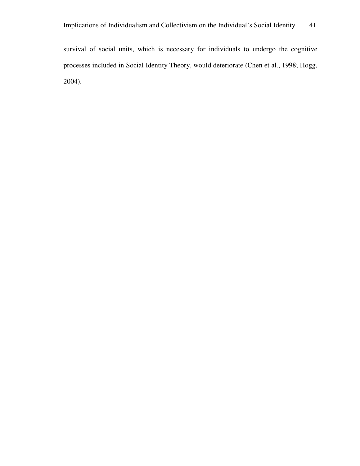survival of social units, which is necessary for individuals to undergo the cognitive processes included in Social Identity Theory, would deteriorate (Chen et al., 1998; Hogg, 2004).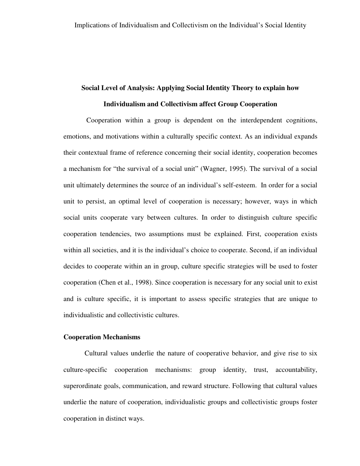### **Social Level of Analysis: Applying Social Identity Theory to explain how**

### **Individualism and Collectivism affect Group Cooperation**

 Cooperation within a group is dependent on the interdependent cognitions, emotions, and motivations within a culturally specific context. As an individual expands their contextual frame of reference concerning their social identity, cooperation becomes a mechanism for "the survival of a social unit" (Wagner, 1995). The survival of a social unit ultimately determines the source of an individual's self-esteem. In order for a social unit to persist, an optimal level of cooperation is necessary; however, ways in which social units cooperate vary between cultures. In order to distinguish culture specific cooperation tendencies, two assumptions must be explained. First, cooperation exists within all societies, and it is the individual's choice to cooperate. Second, if an individual decides to cooperate within an in group, culture specific strategies will be used to foster cooperation (Chen et al., 1998). Since cooperation is necessary for any social unit to exist and is culture specific, it is important to assess specific strategies that are unique to individualistic and collectivistic cultures.

#### **Cooperation Mechanisms**

Cultural values underlie the nature of cooperative behavior, and give rise to six culture-specific cooperation mechanisms: group identity, trust, accountability, superordinate goals, communication, and reward structure. Following that cultural values underlie the nature of cooperation, individualistic groups and collectivistic groups foster cooperation in distinct ways.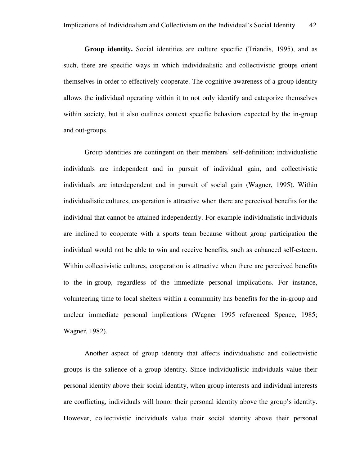**Group identity.** Social identities are culture specific (Triandis, 1995), and as such, there are specific ways in which individualistic and collectivistic groups orient themselves in order to effectively cooperate. The cognitive awareness of a group identity allows the individual operating within it to not only identify and categorize themselves within society, but it also outlines context specific behaviors expected by the in-group and out-groups.

Group identities are contingent on their members' self-definition; individualistic individuals are independent and in pursuit of individual gain, and collectivistic individuals are interdependent and in pursuit of social gain (Wagner, 1995). Within individualistic cultures, cooperation is attractive when there are perceived benefits for the individual that cannot be attained independently. For example individualistic individuals are inclined to cooperate with a sports team because without group participation the individual would not be able to win and receive benefits, such as enhanced self-esteem. Within collectivistic cultures, cooperation is attractive when there are perceived benefits to the in-group, regardless of the immediate personal implications. For instance, volunteering time to local shelters within a community has benefits for the in-group and unclear immediate personal implications (Wagner 1995 referenced Spence, 1985; Wagner, 1982).

Another aspect of group identity that affects individualistic and collectivistic groups is the salience of a group identity. Since individualistic individuals value their personal identity above their social identity, when group interests and individual interests are conflicting, individuals will honor their personal identity above the group's identity. However, collectivistic individuals value their social identity above their personal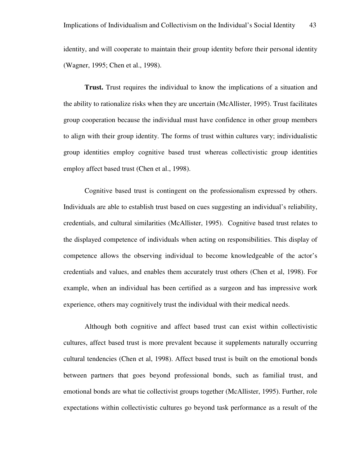identity, and will cooperate to maintain their group identity before their personal identity (Wagner, 1995; Chen et al., 1998).

**Trust.** Trust requires the individual to know the implications of a situation and the ability to rationalize risks when they are uncertain (McAllister, 1995). Trust facilitates group cooperation because the individual must have confidence in other group members to align with their group identity. The forms of trust within cultures vary; individualistic group identities employ cognitive based trust whereas collectivistic group identities employ affect based trust (Chen et al., 1998).

Cognitive based trust is contingent on the professionalism expressed by others. Individuals are able to establish trust based on cues suggesting an individual's reliability, credentials, and cultural similarities (McAllister, 1995). Cognitive based trust relates to the displayed competence of individuals when acting on responsibilities. This display of competence allows the observing individual to become knowledgeable of the actor's credentials and values, and enables them accurately trust others (Chen et al, 1998). For example, when an individual has been certified as a surgeon and has impressive work experience, others may cognitively trust the individual with their medical needs.

Although both cognitive and affect based trust can exist within collectivistic cultures, affect based trust is more prevalent because it supplements naturally occurring cultural tendencies (Chen et al, 1998). Affect based trust is built on the emotional bonds between partners that goes beyond professional bonds, such as familial trust, and emotional bonds are what tie collectivist groups together (McAllister, 1995). Further, role expectations within collectivistic cultures go beyond task performance as a result of the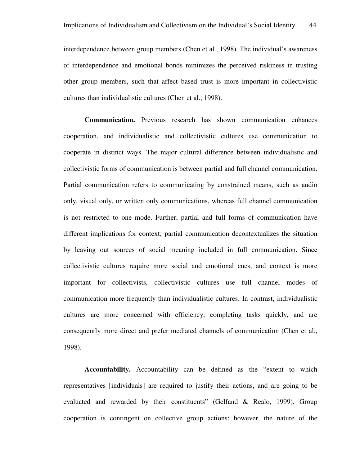interdependence between group members (Chen et al., 1998). The individual's awareness of interdependence and emotional bonds minimizes the perceived riskiness in trusting other group members, such that affect based trust is more important in collectivistic cultures than individualistic cultures (Chen et al., 1998).

**Communication.** Previous research has shown communication enhances cooperation, and individualistic and collectivistic cultures use communication to cooperate in distinct ways. The major cultural difference between individualistic and collectivistic forms of communication is between partial and full channel communication. Partial communication refers to communicating by constrained means, such as audio only, visual only, or written only communications, whereas full channel communication is not restricted to one mode. Further, partial and full forms of communication have different implications for context; partial communication decontextualizes the situation by leaving out sources of social meaning included in full communication. Since collectivistic cultures require more social and emotional cues, and context is more important for collectivists, collectivistic cultures use full channel modes of communication more frequently than individualistic cultures. In contrast, individualistic cultures are more concerned with efficiency, completing tasks quickly, and are consequently more direct and prefer mediated channels of communication (Chen et al., 1998).

**Accountability.** Accountability can be defined as the "extent to which representatives [individuals] are required to justify their actions, and are going to be evaluated and rewarded by their constituents" (Gelfand & Realo, 1999). Group cooperation is contingent on collective group actions; however, the nature of the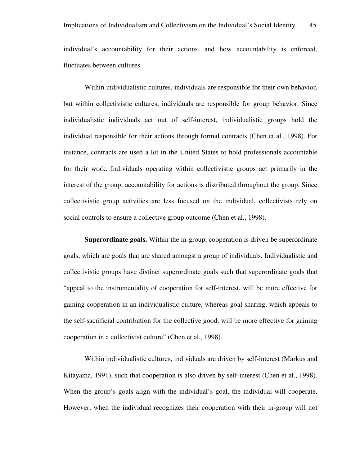individual's accountability for their actions, and how accountability is enforced, fluctuates between cultures.

Within individualistic cultures, individuals are responsible for their own behavior, but within collectivistic cultures, individuals are responsible for group behavior. Since individualistic individuals act out of self-interest, individualistic groups hold the individual responsible for their actions through formal contracts (Chen et al., 1998). For instance, contracts are used a lot in the United States to hold professionals accountable for their work. Individuals operating within collectivistic groups act primarily in the interest of the group; accountability for actions is distributed throughout the group. Since collectivistic group activities are less focused on the individual, collectivists rely on social controls to ensure a collective group outcome (Chen et al., 1998).

**Superordinate goals.** Within the in-group, cooperation is driven be superordinate goals, which are goals that are shared amongst a group of individuals. Individualistic and collectivistic groups have distinct superordinate goals such that superordinate goals that "appeal to the instrumentality of cooperation for self-interest, will be more effective for gaining cooperation in an individualistic culture, whereas goal sharing, which appeals to the self-sacrificial contribution for the collective good, will be more effective for gaining cooperation in a collectivist culture" (Chen et al., 1998).

Within individualistic cultures, individuals are driven by self-interest (Markus and Kitayama, 1991), such that cooperation is also driven by self-interest (Chen et al., 1998). When the group's goals align with the individual's goal, the individual will cooperate. However, when the individual recognizes their cooperation with their in-group will not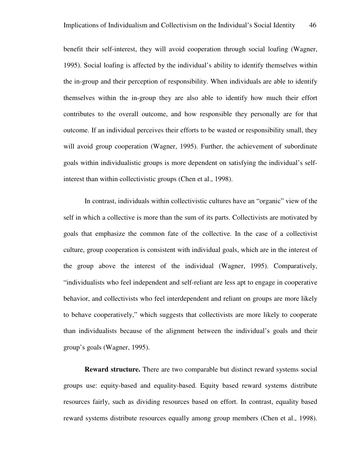benefit their self-interest, they will avoid cooperation through social loafing (Wagner, 1995). Social loafing is affected by the individual's ability to identify themselves within the in-group and their perception of responsibility. When individuals are able to identify themselves within the in-group they are also able to identify how much their effort contributes to the overall outcome, and how responsible they personally are for that outcome. If an individual perceives their efforts to be wasted or responsibility small, they will avoid group cooperation (Wagner, 1995). Further, the achievement of subordinate goals within individualistic groups is more dependent on satisfying the individual's selfinterest than within collectivistic groups (Chen et al., 1998).

In contrast, individuals within collectivistic cultures have an "organic" view of the self in which a collective is more than the sum of its parts. Collectivists are motivated by goals that emphasize the common fate of the collective. In the case of a collectivist culture, group cooperation is consistent with individual goals, which are in the interest of the group above the interest of the individual (Wagner, 1995). Comparatively, "individualists who feel independent and self-reliant are less apt to engage in cooperative behavior, and collectivists who feel interdependent and reliant on groups are more likely to behave cooperatively," which suggests that collectivists are more likely to cooperate than individualists because of the alignment between the individual's goals and their group's goals (Wagner, 1995).

**Reward structure.** There are two comparable but distinct reward systems social groups use: equity-based and equality-based. Equity based reward systems distribute resources fairly, such as dividing resources based on effort. In contrast, equality based reward systems distribute resources equally among group members (Chen et al., 1998).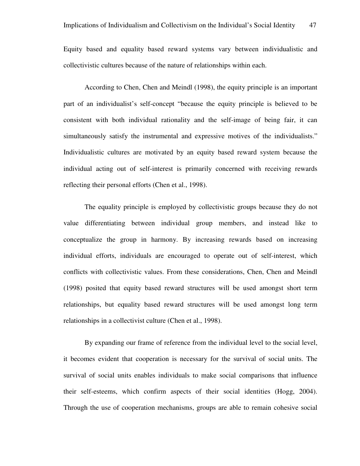Equity based and equality based reward systems vary between individualistic and collectivistic cultures because of the nature of relationships within each.

According to Chen, Chen and Meindl (1998), the equity principle is an important part of an individualist's self-concept "because the equity principle is believed to be consistent with both individual rationality and the self-image of being fair, it can simultaneously satisfy the instrumental and expressive motives of the individualists." Individualistic cultures are motivated by an equity based reward system because the individual acting out of self-interest is primarily concerned with receiving rewards reflecting their personal efforts (Chen et al., 1998).

The equality principle is employed by collectivistic groups because they do not value differentiating between individual group members, and instead like to conceptualize the group in harmony. By increasing rewards based on increasing individual efforts, individuals are encouraged to operate out of self-interest, which conflicts with collectivistic values. From these considerations, Chen, Chen and Meindl (1998) posited that equity based reward structures will be used amongst short term relationships, but equality based reward structures will be used amongst long term relationships in a collectivist culture (Chen et al., 1998).

By expanding our frame of reference from the individual level to the social level, it becomes evident that cooperation is necessary for the survival of social units. The survival of social units enables individuals to make social comparisons that influence their self-esteems, which confirm aspects of their social identities (Hogg, 2004). Through the use of cooperation mechanisms, groups are able to remain cohesive social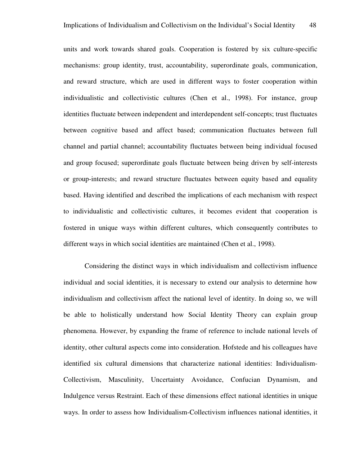units and work towards shared goals. Cooperation is fostered by six culture-specific mechanisms: group identity, trust, accountability, superordinate goals, communication, and reward structure, which are used in different ways to foster cooperation within individualistic and collectivistic cultures (Chen et al., 1998). For instance, group identities fluctuate between independent and interdependent self-concepts; trust fluctuates between cognitive based and affect based; communication fluctuates between full channel and partial channel; accountability fluctuates between being individual focused and group focused; superordinate goals fluctuate between being driven by self-interests or group-interests; and reward structure fluctuates between equity based and equality based. Having identified and described the implications of each mechanism with respect to individualistic and collectivistic cultures, it becomes evident that cooperation is fostered in unique ways within different cultures, which consequently contributes to different ways in which social identities are maintained (Chen et al., 1998).

Considering the distinct ways in which individualism and collectivism influence individual and social identities, it is necessary to extend our analysis to determine how individualism and collectivism affect the national level of identity. In doing so, we will be able to holistically understand how Social Identity Theory can explain group phenomena. However, by expanding the frame of reference to include national levels of identity, other cultural aspects come into consideration. Hofstede and his colleagues have identified six cultural dimensions that characterize national identities: Individualism-Collectivism, Masculinity, Uncertainty Avoidance, Confucian Dynamism, and Indulgence versus Restraint. Each of these dimensions effect national identities in unique ways. In order to assess how Individualism-Collectivism influences national identities, it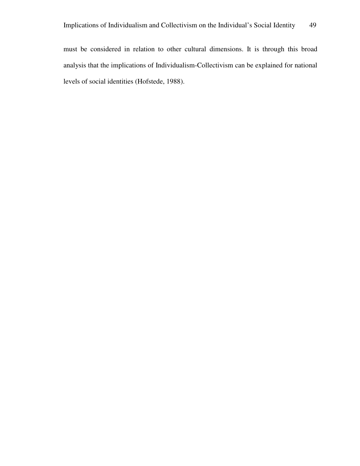must be considered in relation to other cultural dimensions. It is through this broad analysis that the implications of Individualism-Collectivism can be explained for national levels of social identities (Hofstede, 1988).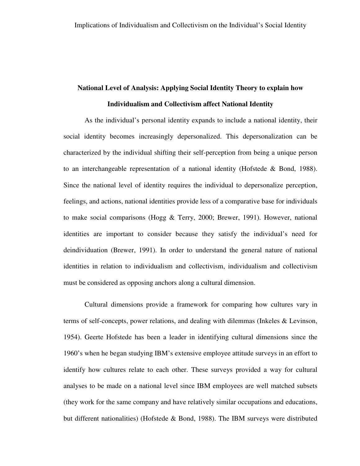# **National Level of Analysis: Applying Social Identity Theory to explain how Individualism and Collectivism affect National Identity**

As the individual's personal identity expands to include a national identity, their social identity becomes increasingly depersonalized. This depersonalization can be characterized by the individual shifting their self-perception from being a unique person to an interchangeable representation of a national identity (Hofstede & Bond, 1988). Since the national level of identity requires the individual to depersonalize perception, feelings, and actions, national identities provide less of a comparative base for individuals to make social comparisons (Hogg & Terry, 2000; Brewer, 1991). However, national identities are important to consider because they satisfy the individual's need for deindividuation (Brewer, 1991). In order to understand the general nature of national identities in relation to individualism and collectivism, individualism and collectivism must be considered as opposing anchors along a cultural dimension.

Cultural dimensions provide a framework for comparing how cultures vary in terms of self-concepts, power relations, and dealing with dilemmas (Inkeles & Levinson, 1954). Geerte Hofstede has been a leader in identifying cultural dimensions since the 1960's when he began studying IBM's extensive employee attitude surveys in an effort to identify how cultures relate to each other. These surveys provided a way for cultural analyses to be made on a national level since IBM employees are well matched subsets (they work for the same company and have relatively similar occupations and educations, but different nationalities) (Hofstede & Bond, 1988). The IBM surveys were distributed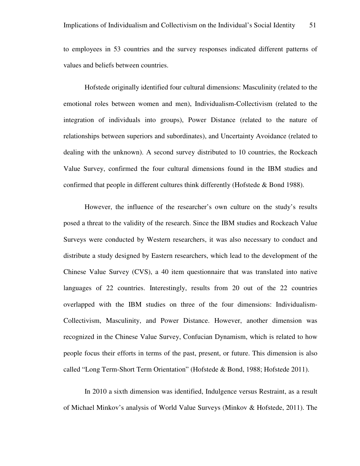to employees in 53 countries and the survey responses indicated different patterns of values and beliefs between countries.

Hofstede originally identified four cultural dimensions: Masculinity (related to the emotional roles between women and men), Individualism-Collectivism (related to the integration of individuals into groups), Power Distance (related to the nature of relationships between superiors and subordinates), and Uncertainty Avoidance (related to dealing with the unknown). A second survey distributed to 10 countries, the Rockeach Value Survey, confirmed the four cultural dimensions found in the IBM studies and confirmed that people in different cultures think differently (Hofstede & Bond 1988).

However, the influence of the researcher's own culture on the study's results posed a threat to the validity of the research. Since the IBM studies and Rockeach Value Surveys were conducted by Western researchers, it was also necessary to conduct and distribute a study designed by Eastern researchers, which lead to the development of the Chinese Value Survey (CVS), a 40 item questionnaire that was translated into native languages of 22 countries. Interestingly, results from 20 out of the 22 countries overlapped with the IBM studies on three of the four dimensions: Individualism-Collectivism, Masculinity, and Power Distance. However, another dimension was recognized in the Chinese Value Survey, Confucian Dynamism, which is related to how people focus their efforts in terms of the past, present, or future. This dimension is also called "Long Term-Short Term Orientation" (Hofstede & Bond, 1988; Hofstede 2011).

In 2010 a sixth dimension was identified, Indulgence versus Restraint, as a result of Michael Minkov's analysis of World Value Surveys (Minkov & Hofstede, 2011). The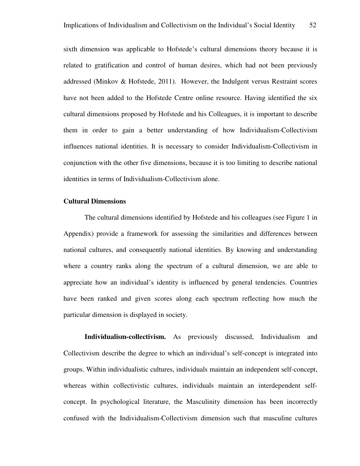sixth dimension was applicable to Hofstede's cultural dimensions theory because it is related to gratification and control of human desires, which had not been previously addressed (Minkov & Hofstede, 2011). However, the Indulgent versus Restraint scores have not been added to the Hofstede Centre online resource. Having identified the six cultural dimensions proposed by Hofstede and his Colleagues, it is important to describe them in order to gain a better understanding of how Individualism-Collectivism influences national identities. It is necessary to consider Individualism-Collectivism in conjunction with the other five dimensions, because it is too limiting to describe national identities in terms of Individualism-Collectivism alone.

### **Cultural Dimensions**

The cultural dimensions identified by Hofstede and his colleagues (see Figure 1 in Appendix) provide a framework for assessing the similarities and differences between national cultures, and consequently national identities. By knowing and understanding where a country ranks along the spectrum of a cultural dimension, we are able to appreciate how an individual's identity is influenced by general tendencies. Countries have been ranked and given scores along each spectrum reflecting how much the particular dimension is displayed in society.

**Individualism-collectivism.** As previously discussed, Individualism and Collectivism describe the degree to which an individual's self-concept is integrated into groups. Within individualistic cultures, individuals maintain an independent self-concept, whereas within collectivistic cultures, individuals maintain an interdependent selfconcept. In psychological literature, the Masculinity dimension has been incorrectly confused with the Individualism-Collectivism dimension such that masculine cultures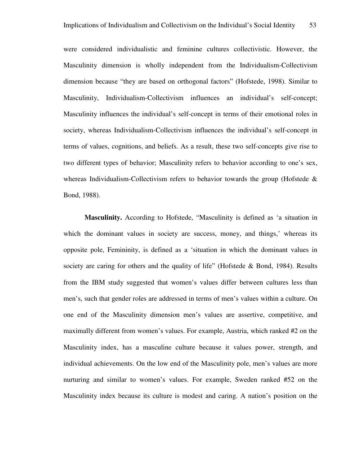were considered individualistic and feminine cultures collectivistic. However, the Masculinity dimension is wholly independent from the Individualism-Collectivism dimension because "they are based on orthogonal factors" (Hofstede, 1998). Similar to Masculinity, Individualism-Collectivism influences an individual's self-concept; Masculinity influences the individual's self-concept in terms of their emotional roles in society, whereas Individualism-Collectivism influences the individual's self-concept in terms of values, cognitions, and beliefs. As a result, these two self-concepts give rise to two different types of behavior; Masculinity refers to behavior according to one's sex, whereas Individualism-Collectivism refers to behavior towards the group (Hofstede  $\&$ Bond, 1988).

**Masculinity.** According to Hofstede, "Masculinity is defined as 'a situation in which the dominant values in society are success, money, and things,' whereas its opposite pole, Femininity, is defined as a 'situation in which the dominant values in society are caring for others and the quality of life" (Hofstede & Bond, 1984). Results from the IBM study suggested that women's values differ between cultures less than men's, such that gender roles are addressed in terms of men's values within a culture. On one end of the Masculinity dimension men's values are assertive, competitive, and maximally different from women's values. For example, Austria, which ranked #2 on the Masculinity index, has a masculine culture because it values power, strength, and individual achievements. On the low end of the Masculinity pole, men's values are more nurturing and similar to women's values. For example, Sweden ranked #52 on the Masculinity index because its culture is modest and caring. A nation's position on the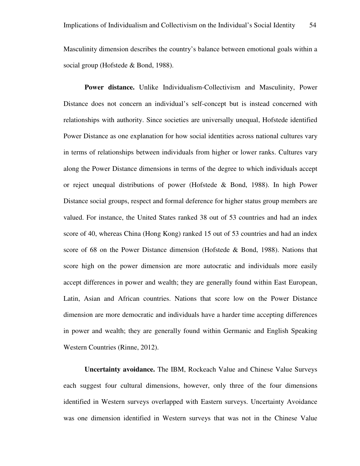Masculinity dimension describes the country's balance between emotional goals within a social group (Hofstede & Bond, 1988).

Power distance. Unlike Individualism-Collectivism and Masculinity, Power Distance does not concern an individual's self-concept but is instead concerned with relationships with authority. Since societies are universally unequal, Hofstede identified Power Distance as one explanation for how social identities across national cultures vary in terms of relationships between individuals from higher or lower ranks. Cultures vary along the Power Distance dimensions in terms of the degree to which individuals accept or reject unequal distributions of power (Hofstede & Bond, 1988). In high Power Distance social groups, respect and formal deference for higher status group members are valued. For instance, the United States ranked 38 out of 53 countries and had an index score of 40, whereas China (Hong Kong) ranked 15 out of 53 countries and had an index score of 68 on the Power Distance dimension (Hofstede & Bond, 1988). Nations that score high on the power dimension are more autocratic and individuals more easily accept differences in power and wealth; they are generally found within East European, Latin, Asian and African countries. Nations that score low on the Power Distance dimension are more democratic and individuals have a harder time accepting differences in power and wealth; they are generally found within Germanic and English Speaking Western Countries (Rinne, 2012).

**Uncertainty avoidance.** The IBM, Rockeach Value and Chinese Value Surveys each suggest four cultural dimensions, however, only three of the four dimensions identified in Western surveys overlapped with Eastern surveys. Uncertainty Avoidance was one dimension identified in Western surveys that was not in the Chinese Value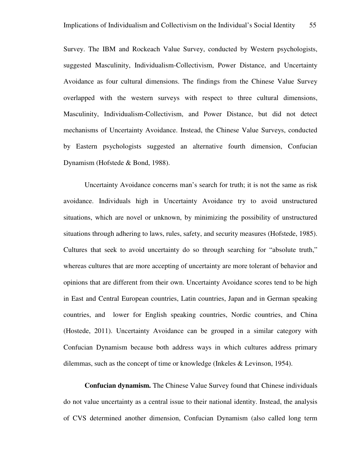Survey. The IBM and Rockeach Value Survey, conducted by Western psychologists, suggested Masculinity, Individualism-Collectivism, Power Distance, and Uncertainty Avoidance as four cultural dimensions. The findings from the Chinese Value Survey overlapped with the western surveys with respect to three cultural dimensions, Masculinity, Individualism-Collectivism, and Power Distance, but did not detect mechanisms of Uncertainty Avoidance. Instead, the Chinese Value Surveys, conducted by Eastern psychologists suggested an alternative fourth dimension, Confucian Dynamism (Hofstede & Bond, 1988).

Uncertainty Avoidance concerns man's search for truth; it is not the same as risk avoidance. Individuals high in Uncertainty Avoidance try to avoid unstructured situations, which are novel or unknown, by minimizing the possibility of unstructured situations through adhering to laws, rules, safety, and security measures (Hofstede, 1985). Cultures that seek to avoid uncertainty do so through searching for "absolute truth," whereas cultures that are more accepting of uncertainty are more tolerant of behavior and opinions that are different from their own. Uncertainty Avoidance scores tend to be high in East and Central European countries, Latin countries, Japan and in German speaking countries, and lower for English speaking countries, Nordic countries, and China (Hostede, 2011). Uncertainty Avoidance can be grouped in a similar category with Confucian Dynamism because both address ways in which cultures address primary dilemmas, such as the concept of time or knowledge (Inkeles & Levinson, 1954).

**Confucian dynamism.** The Chinese Value Survey found that Chinese individuals do not value uncertainty as a central issue to their national identity. Instead, the analysis of CVS determined another dimension, Confucian Dynamism (also called long term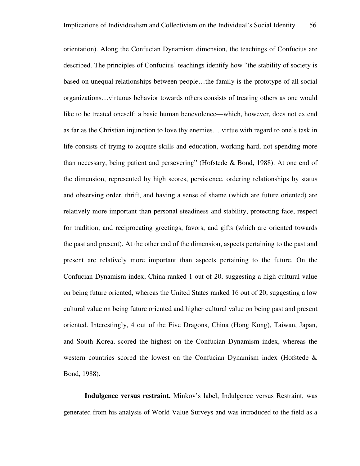orientation). Along the Confucian Dynamism dimension, the teachings of Confucius are described. The principles of Confucius' teachings identify how "the stability of society is based on unequal relationships between people…the family is the prototype of all social organizations…virtuous behavior towards others consists of treating others as one would like to be treated oneself: a basic human benevolence—which, however, does not extend as far as the Christian injunction to love thy enemies… virtue with regard to one's task in life consists of trying to acquire skills and education, working hard, not spending more than necessary, being patient and persevering" (Hofstede & Bond, 1988). At one end of the dimension, represented by high scores, persistence, ordering relationships by status and observing order, thrift, and having a sense of shame (which are future oriented) are relatively more important than personal steadiness and stability, protecting face, respect for tradition, and reciprocating greetings, favors, and gifts (which are oriented towards the past and present). At the other end of the dimension, aspects pertaining to the past and present are relatively more important than aspects pertaining to the future. On the Confucian Dynamism index, China ranked 1 out of 20, suggesting a high cultural value on being future oriented, whereas the United States ranked 16 out of 20, suggesting a low cultural value on being future oriented and higher cultural value on being past and present oriented. Interestingly, 4 out of the Five Dragons, China (Hong Kong), Taiwan, Japan, and South Korea, scored the highest on the Confucian Dynamism index, whereas the western countries scored the lowest on the Confucian Dynamism index (Hofstede  $\&$ Bond, 1988).

**Indulgence versus restraint.** Minkov's label, Indulgence versus Restraint, was generated from his analysis of World Value Surveys and was introduced to the field as a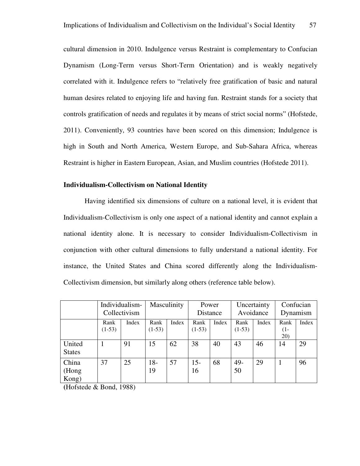cultural dimension in 2010. Indulgence versus Restraint is complementary to Confucian Dynamism (Long-Term versus Short-Term Orientation) and is weakly negatively correlated with it. Indulgence refers to "relatively free gratification of basic and natural human desires related to enjoying life and having fun. Restraint stands for a society that controls gratification of needs and regulates it by means of strict social norms" (Hofstede, 2011). Conveniently, 93 countries have been scored on this dimension; Indulgence is high in South and North America, Western Europe, and Sub-Sahara Africa, whereas Restraint is higher in Eastern European, Asian, and Muslim countries (Hofstede 2011).

### **Individualism-Collectivism on National Identity**

Having identified six dimensions of culture on a national level, it is evident that Individualism-Collectivism is only one aspect of a national identity and cannot explain a national identity alone. It is necessary to consider Individualism-Collectivism in conjunction with other cultural dimensions to fully understand a national identity. For instance, the United States and China scored differently along the Individualism-Collectivism dimension, but similarly along others (reference table below).

|                         | Individualism-<br>Collectivism |       | Masculinity      |       | Power<br>Distance |       | Uncertainty<br>Avoidance |       | Confucian<br>Dynamism |       |
|-------------------------|--------------------------------|-------|------------------|-------|-------------------|-------|--------------------------|-------|-----------------------|-------|
|                         | Rank<br>$(1-53)$               | Index | Rank<br>$(1-53)$ | Index | Rank<br>$(1-53)$  | Index | Rank<br>$(1-53)$         | Index | Rank<br>$(1 -$<br>20) | Index |
| United<br><b>States</b> |                                | 91    | 15               | 62    | 38                | 40    | 43                       | 46    | 14                    | 29    |
| China<br>(Hong<br>Kong) | 37                             | 25    | $18-$<br>19      | 57    | $15-$<br>16       | 68    | 49-<br>50                | 29    |                       | 96    |

**(**Hofstede & Bond, 1988)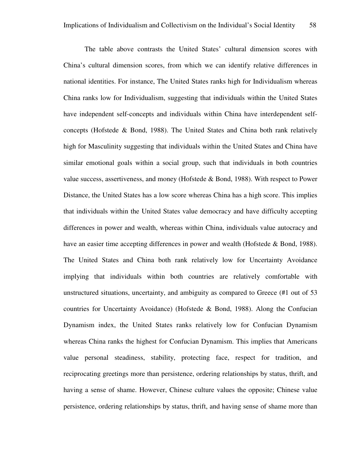The table above contrasts the United States' cultural dimension scores with China's cultural dimension scores, from which we can identify relative differences in national identities. For instance, The United States ranks high for Individualism whereas China ranks low for Individualism, suggesting that individuals within the United States have independent self-concepts and individuals within China have interdependent selfconcepts (Hofstede & Bond, 1988). The United States and China both rank relatively high for Masculinity suggesting that individuals within the United States and China have similar emotional goals within a social group, such that individuals in both countries value success, assertiveness, and money (Hofstede & Bond, 1988). With respect to Power Distance, the United States has a low score whereas China has a high score. This implies that individuals within the United States value democracy and have difficulty accepting differences in power and wealth, whereas within China, individuals value autocracy and have an easier time accepting differences in power and wealth (Hofstede & Bond, 1988). The United States and China both rank relatively low for Uncertainty Avoidance implying that individuals within both countries are relatively comfortable with unstructured situations, uncertainty, and ambiguity as compared to Greece (#1 out of 53 countries for Uncertainty Avoidance) (Hofstede & Bond, 1988). Along the Confucian Dynamism index, the United States ranks relatively low for Confucian Dynamism whereas China ranks the highest for Confucian Dynamism. This implies that Americans value personal steadiness, stability, protecting face, respect for tradition, and reciprocating greetings more than persistence, ordering relationships by status, thrift, and having a sense of shame. However, Chinese culture values the opposite; Chinese value persistence, ordering relationships by status, thrift, and having sense of shame more than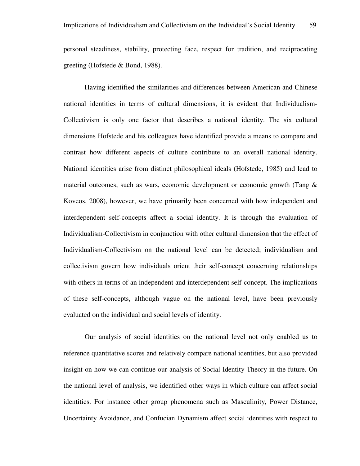personal steadiness, stability, protecting face, respect for tradition, and reciprocating greeting (Hofstede & Bond, 1988).

Having identified the similarities and differences between American and Chinese national identities in terms of cultural dimensions, it is evident that Individualism-Collectivism is only one factor that describes a national identity. The six cultural dimensions Hofstede and his colleagues have identified provide a means to compare and contrast how different aspects of culture contribute to an overall national identity. National identities arise from distinct philosophical ideals (Hofstede, 1985) and lead to material outcomes, such as wars, economic development or economic growth (Tang & Koveos, 2008), however, we have primarily been concerned with how independent and interdependent self-concepts affect a social identity. It is through the evaluation of Individualism-Collectivism in conjunction with other cultural dimension that the effect of Individualism-Collectivism on the national level can be detected; individualism and collectivism govern how individuals orient their self-concept concerning relationships with others in terms of an independent and interdependent self-concept. The implications of these self-concepts, although vague on the national level, have been previously evaluated on the individual and social levels of identity.

Our analysis of social identities on the national level not only enabled us to reference quantitative scores and relatively compare national identities, but also provided insight on how we can continue our analysis of Social Identity Theory in the future. On the national level of analysis, we identified other ways in which culture can affect social identities. For instance other group phenomena such as Masculinity, Power Distance, Uncertainty Avoidance, and Confucian Dynamism affect social identities with respect to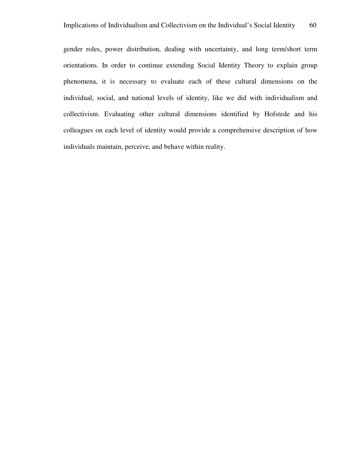gender roles, power distribution, dealing with uncertainty, and long term/short term orientations. In order to continue extending Social Identity Theory to explain group phenomena, it is necessary to evaluate each of these cultural dimensions on the individual, social, and national levels of identity, like we did with individualism and collectivism. Evaluating other cultural dimensions identified by Hofstede and his colleagues on each level of identity would provide a comprehensive description of how individuals maintain, perceive, and behave within reality.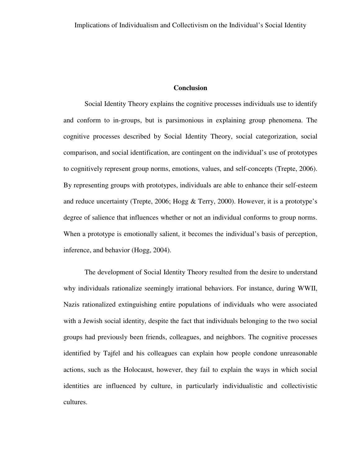### **Conclusion**

Social Identity Theory explains the cognitive processes individuals use to identify and conform to in-groups, but is parsimonious in explaining group phenomena. The cognitive processes described by Social Identity Theory, social categorization, social comparison, and social identification, are contingent on the individual's use of prototypes to cognitively represent group norms, emotions, values, and self-concepts (Trepte, 2006). By representing groups with prototypes, individuals are able to enhance their self-esteem and reduce uncertainty (Trepte, 2006; Hogg & Terry, 2000). However, it is a prototype's degree of salience that influences whether or not an individual conforms to group norms. When a prototype is emotionally salient, it becomes the individual's basis of perception, inference, and behavior (Hogg, 2004).

The development of Social Identity Theory resulted from the desire to understand why individuals rationalize seemingly irrational behaviors. For instance, during WWII, Nazis rationalized extinguishing entire populations of individuals who were associated with a Jewish social identity, despite the fact that individuals belonging to the two social groups had previously been friends, colleagues, and neighbors. The cognitive processes identified by Tajfel and his colleagues can explain how people condone unreasonable actions, such as the Holocaust, however, they fail to explain the ways in which social identities are influenced by culture, in particularly individualistic and collectivistic cultures.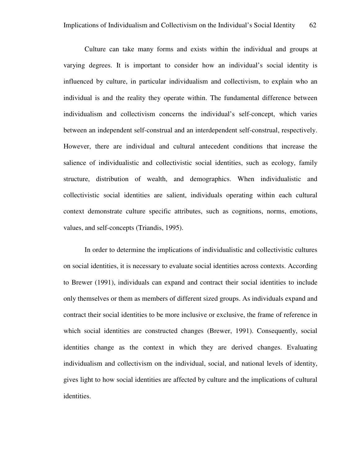Culture can take many forms and exists within the individual and groups at varying degrees. It is important to consider how an individual's social identity is influenced by culture, in particular individualism and collectivism, to explain who an individual is and the reality they operate within. The fundamental difference between individualism and collectivism concerns the individual's self-concept, which varies between an independent self-construal and an interdependent self-construal, respectively. However, there are individual and cultural antecedent conditions that increase the salience of individualistic and collectivistic social identities, such as ecology, family structure, distribution of wealth, and demographics. When individualistic and collectivistic social identities are salient, individuals operating within each cultural context demonstrate culture specific attributes, such as cognitions, norms, emotions, values, and self-concepts (Triandis, 1995).

In order to determine the implications of individualistic and collectivistic cultures on social identities, it is necessary to evaluate social identities across contexts. According to Brewer (1991), individuals can expand and contract their social identities to include only themselves or them as members of different sized groups. As individuals expand and contract their social identities to be more inclusive or exclusive, the frame of reference in which social identities are constructed changes (Brewer, 1991). Consequently, social identities change as the context in which they are derived changes. Evaluating individualism and collectivism on the individual, social, and national levels of identity, gives light to how social identities are affected by culture and the implications of cultural identities.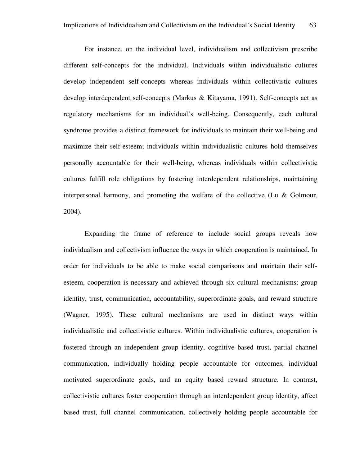For instance, on the individual level, individualism and collectivism prescribe different self-concepts for the individual. Individuals within individualistic cultures develop independent self-concepts whereas individuals within collectivistic cultures develop interdependent self-concepts (Markus & Kitayama, 1991). Self-concepts act as regulatory mechanisms for an individual's well-being. Consequently, each cultural syndrome provides a distinct framework for individuals to maintain their well-being and maximize their self-esteem; individuals within individualistic cultures hold themselves personally accountable for their well-being, whereas individuals within collectivistic cultures fulfill role obligations by fostering interdependent relationships, maintaining interpersonal harmony, and promoting the welfare of the collective (Lu & Golmour, 2004).

Expanding the frame of reference to include social groups reveals how individualism and collectivism influence the ways in which cooperation is maintained. In order for individuals to be able to make social comparisons and maintain their selfesteem, cooperation is necessary and achieved through six cultural mechanisms: group identity, trust, communication, accountability, superordinate goals, and reward structure (Wagner, 1995). These cultural mechanisms are used in distinct ways within individualistic and collectivistic cultures. Within individualistic cultures, cooperation is fostered through an independent group identity, cognitive based trust, partial channel communication, individually holding people accountable for outcomes, individual motivated superordinate goals, and an equity based reward structure. In contrast, collectivistic cultures foster cooperation through an interdependent group identity, affect based trust, full channel communication, collectively holding people accountable for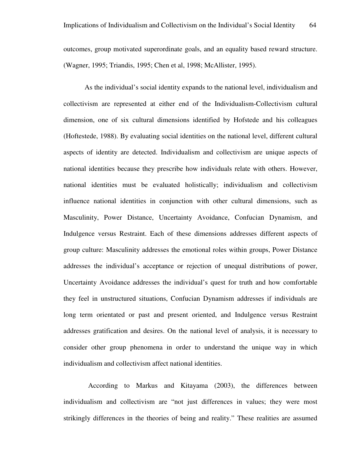outcomes, group motivated superordinate goals, and an equality based reward structure. (Wagner, 1995; Triandis, 1995; Chen et al, 1998; McAllister, 1995).

As the individual's social identity expands to the national level, individualism and collectivism are represented at either end of the Individualism-Collectivism cultural dimension, one of six cultural dimensions identified by Hofstede and his colleagues (Hoftestede, 1988). By evaluating social identities on the national level, different cultural aspects of identity are detected. Individualism and collectivism are unique aspects of national identities because they prescribe how individuals relate with others. However, national identities must be evaluated holistically; individualism and collectivism influence national identities in conjunction with other cultural dimensions, such as Masculinity, Power Distance, Uncertainty Avoidance, Confucian Dynamism, and Indulgence versus Restraint. Each of these dimensions addresses different aspects of group culture: Masculinity addresses the emotional roles within groups, Power Distance addresses the individual's acceptance or rejection of unequal distributions of power, Uncertainty Avoidance addresses the individual's quest for truth and how comfortable they feel in unstructured situations, Confucian Dynamism addresses if individuals are long term orientated or past and present oriented, and Indulgence versus Restraint addresses gratification and desires. On the national level of analysis, it is necessary to consider other group phenomena in order to understand the unique way in which individualism and collectivism affect national identities.

 According to Markus and Kitayama (2003), the differences between individualism and collectivism are "not just differences in values; they were most strikingly differences in the theories of being and reality." These realities are assumed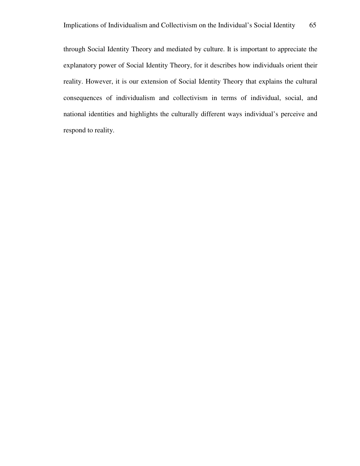through Social Identity Theory and mediated by culture. It is important to appreciate the explanatory power of Social Identity Theory, for it describes how individuals orient their reality. However, it is our extension of Social Identity Theory that explains the cultural consequences of individualism and collectivism in terms of individual, social, and national identities and highlights the culturally different ways individual's perceive and respond to reality.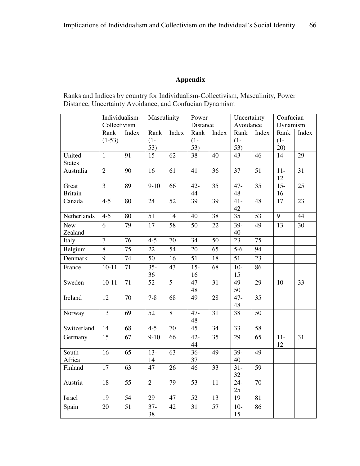## **Appendix**

Ranks and Indices by country for Individualism-Collectivism, Masculinity, Power Distance, Uncertainty Avoidance, and Confucian Dynamism

|                | Individualism-   |                 | Masculinity     |                 | Power           |                 | Uncertainty      |                 | Confucian             |                 |
|----------------|------------------|-----------------|-----------------|-----------------|-----------------|-----------------|------------------|-----------------|-----------------------|-----------------|
|                | Collectivism     |                 |                 |                 | Distance        |                 | Avoidance        |                 | Dynamism              |                 |
|                | Rank             | Index           | Rank            | Index           | Rank            | Index           | Rank             | Index           | Rank                  | Index           |
|                | $(1-53)$         |                 | $(1 -$          |                 | $(1 -$          |                 | $(1 -$           |                 | $(1 -$                |                 |
|                |                  |                 | 53)             |                 | 53)             |                 | 53)              |                 | 20)                   |                 |
| United         | $\mathbf{1}$     | 91              | 15              | 62              | 38              | 40              | 43               | 46              | 14                    | 29              |
| <b>States</b>  |                  |                 |                 |                 |                 |                 |                  |                 |                       |                 |
| Australia      | $\overline{2}$   | 90              | $\overline{16}$ | $\overline{61}$ | 41              | $\overline{36}$ | $\overline{37}$  | $\overline{51}$ | $\overline{11}$<br>12 | $\overline{31}$ |
| Great          | $\overline{3}$   | 89              | $9-10$          | 66              | $42 -$          | $\overline{35}$ | $47-$            | $\overline{35}$ | $15 -$                | $\overline{25}$ |
| <b>Britain</b> |                  |                 |                 |                 | 44              |                 | 48               |                 | 16                    |                 |
| Canada         | $\overline{4-5}$ | 80              | 24              | $\overline{52}$ | $\overline{39}$ | $\overline{39}$ | $41 -$           | $\overline{48}$ | 17                    | $\overline{23}$ |
|                |                  |                 |                 |                 |                 |                 | 42               |                 |                       |                 |
| Netherlands    | $\overline{4-5}$ | 80              | $\overline{51}$ | 14              | $\overline{40}$ | $\overline{38}$ | $\overline{35}$  | 53              | $\overline{9}$        | $\overline{44}$ |
| <b>New</b>     | 6                | 79              | $\overline{17}$ | 58              | 50              | $\overline{22}$ | $39-$            | $\overline{49}$ | 13                    | $\overline{30}$ |
| Zealand        |                  |                 |                 |                 |                 |                 | 40               |                 |                       |                 |
| Italy          | $\overline{7}$   | 76              | $4-5$           | 70              | $\overline{34}$ | $\overline{50}$ | $\overline{23}$  | $\overline{75}$ |                       |                 |
| Belgium        | $\overline{8}$   | 75              | 22              | $\overline{54}$ | 20              | $\overline{65}$ | $\overline{5-6}$ | 94              |                       |                 |
| Denmark        | 9                | 74              | 50              | 16              | 51              | 18              | $\overline{51}$  | 23              |                       |                 |
| France         | $10-11$          | $\overline{71}$ | $35 -$          | $\overline{43}$ | $15 -$          | 68              | $10-$            | $\overline{86}$ |                       |                 |
|                |                  |                 | 36              |                 | 16              |                 | 15               |                 |                       |                 |
| Sweden         | $10 - 11$        | 71              | 52              | $\overline{5}$  | $47 -$          | 31              | $49-$            | 29              | 10                    | 33              |
|                |                  |                 |                 |                 | 48              |                 | 50               |                 |                       |                 |
| Ireland        | 12               | $\overline{70}$ | $7 - 8$         | 68              | 49              | 28              | $47 -$           | $\overline{35}$ |                       |                 |
|                |                  |                 |                 |                 |                 |                 | 48               |                 |                       |                 |
| Norway         | $\overline{13}$  | $\overline{69}$ | $\overline{52}$ | $\overline{8}$  | $47 -$          | $\overline{31}$ | $\overline{38}$  | $\overline{50}$ |                       |                 |
|                |                  |                 |                 |                 | 48              |                 |                  |                 |                       |                 |
| Switzerland    | 14               | $\overline{68}$ | $4-5$           | 70              | $\overline{45}$ | $\overline{34}$ | $\overline{33}$  | 58              |                       |                 |
| Germany        | 15               | 67              | $9-10$          | 66              | $42 -$          | 35              | 29               | 65              | $11-$                 | 31              |
|                |                  |                 |                 |                 | 44              |                 |                  |                 | 12                    |                 |
| South          | 16               | 65              | $13-$           | 63              | $36 -$          | 49              | $39-$            | 49              |                       |                 |
| Africa         |                  |                 | 14              |                 | 37              |                 | 40               |                 |                       |                 |
| Finland        | 17               | 63              | 47              | 26              | 46              | 33              | $31 -$           | 59              |                       |                 |
|                |                  |                 |                 |                 |                 |                 | 32               |                 |                       |                 |
| Austria        | 18               | $\overline{55}$ | $\overline{2}$  | 79              | 53              | 11              | $24 -$           | 70              |                       |                 |
|                |                  |                 |                 |                 |                 |                 | 25               |                 |                       |                 |
| Israel         | $\overline{19}$  | $\overline{54}$ | $\overline{29}$ | $\overline{47}$ | $\overline{52}$ | $\overline{13}$ | $\overline{19}$  | $\overline{81}$ |                       |                 |
| Spain          | 20               | $\overline{51}$ | $37 -$          | 42              | 31              | $\overline{57}$ | $10-$            | 86              |                       |                 |
|                |                  |                 | 38              |                 |                 |                 | 15               |                 |                       |                 |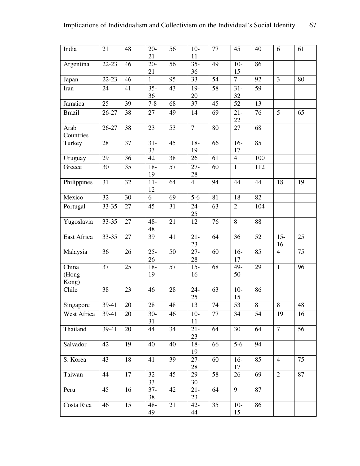| India                   | 21        | 48     | $20 -$<br>21 | 56          | $10-$<br>11    | 77 | 45               | 40      | 6              | 61 |
|-------------------------|-----------|--------|--------------|-------------|----------------|----|------------------|---------|----------------|----|
| Argentina               | 22-23     | 46     | $20-$<br>21  | 56          | $35 -$<br>36   | 49 | $10-$<br>15      | 86      |                |    |
| Japan                   | $22 - 23$ | 46     | $\mathbf{1}$ | 95          | 33             | 54 | $\overline{7}$   | 92      | $\mathfrak{Z}$ | 80 |
| Iran                    | 24        | 41     | $35 -$       | 43          | $19-$          | 58 | $31 -$           | 59      |                |    |
|                         |           |        | 36           |             | 20             |    | 32               |         |                |    |
| Jamaica                 | 25        | 39     | $7 - 8$      | 68          | 37             | 45 | 52               | 13      |                |    |
| <b>Brazil</b>           | 26-27     | 38     | 27           | 49          | 14             | 69 | $21 -$<br>$22\,$ | 76      | 5              | 65 |
| Arab<br>Countries       | 26-27     | 38     | 23           | 53          | $\overline{7}$ | 80 | 27               | 68      |                |    |
| Turkey                  | 28        | 37     | $31 -$<br>33 | 45          | $18-$<br>19    | 66 | $16-$<br>17      | 85      |                |    |
| Uruguay                 | 29        | 36     | 42           | 38          | 26             | 61 | $\overline{4}$   | 100     |                |    |
| Greece                  | 30        | 35     | $18-$<br>19  | 57          | $27 -$<br>28   | 60 | $\mathbf{1}$     | 112     |                |    |
| Philippines             | 31        | 32     | $11-$<br>12  | 64          | $\overline{4}$ | 94 | 44               | 44      | 18             | 19 |
| Mexico                  | 32        | 30     | 6            | 69          | $5-6$          | 81 | 18               | 82      |                |    |
| Portugal                | 33-35     | 27     | 45           | 31          | $24 -$<br>25   | 63 | $\overline{2}$   | 104     |                |    |
| Yugoslavia              | 33-35     | 27     | $48 -$<br>48 | 21          | 12             | 76 | 8                | 88      |                |    |
| East Africa             | 33-35     | $27\,$ | 39           | 41          | $21 -$<br>23   | 64 | 36               | 52      | $15 -$<br>16   | 25 |
| Malaysia                | 36        | 26     | $25 -$<br>26 | 50          | $27 -$<br>28   | 60 | $16-$<br>17      | 85      | $\overline{4}$ | 75 |
| China<br>(Hong<br>Kong) | 37        | 25     | $18-$<br>19  | 57          | $15 -$<br>16   | 68 | 49-<br>50        | 29      | $\mathbf{1}$   | 96 |
| Chile                   | 38        | 23     | 46           | 28          | $24 -$<br>25   | 63 | $10-$<br>15      | 86      |                |    |
| Singapore               | 39-41     | $20\,$ | $28\,$       | $\sqrt{48}$ | 13             | 74 | 53               | $\,8\,$ | $\,8\,$        | 48 |
| West Africa             | 39-41     | 20     | $30-$<br>31  | 46          | $10-$<br>11    | 77 | 34               | 54      | 19             | 16 |
| Thailand                | 39-41     | 20     | 44           | 34          | $21 -$<br>23   | 64 | 30               | 64      | $\tau$         | 56 |
| Salvador                | 42        | 19     | 40           | 40          | $18-$<br>19    | 66 | $5-6$            | 94      |                |    |
| S. Korea                | 43        | 18     | 41           | 39          | $27 -$<br>28   | 60 | $16-$<br>17      | 85      | $\overline{4}$ | 75 |
| Taiwan                  | 44        | 17     | $32 -$<br>33 | 45          | 29-<br>30      | 58 | 26               | 69      | $\overline{2}$ | 87 |
| Peru                    | 45        | 16     | $37 -$<br>38 | 42          | $21 -$<br>23   | 64 | 9                | 87      |                |    |
| Costa Rica              | 46        | 15     | $48-$<br>49  | 21          | $42 -$<br>44   | 35 | $10-$<br>15      | 86      |                |    |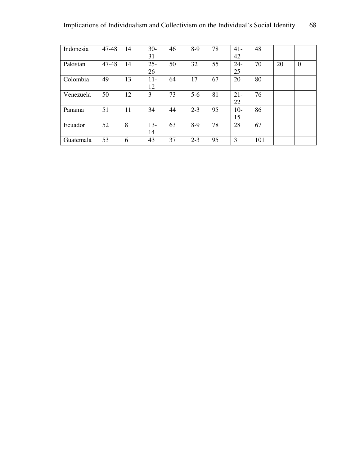| Indonesia | 47-48 | 14 | $30-$  | 46 | $8-9$   | 78 | $41 -$ | 48  |    |                  |
|-----------|-------|----|--------|----|---------|----|--------|-----|----|------------------|
|           |       |    | 31     |    |         |    | 42     |     |    |                  |
| Pakistan  | 47-48 | 14 | $25 -$ | 50 | 32      | 55 | $24 -$ | 70  | 20 | $\boldsymbol{0}$ |
|           |       |    | 26     |    |         |    | 25     |     |    |                  |
| Colombia  | 49    | 13 | $11-$  | 64 | 17      | 67 | 20     | 80  |    |                  |
|           |       |    | 12     |    |         |    |        |     |    |                  |
| Venezuela | 50    | 12 | 3      | 73 | $5-6$   | 81 | $21 -$ | 76  |    |                  |
|           |       |    |        |    |         |    | 22     |     |    |                  |
| Panama    | 51    | 11 | 34     | 44 | $2 - 3$ | 95 | $10-$  | 86  |    |                  |
|           |       |    |        |    |         |    | 15     |     |    |                  |
| Ecuador   | 52    | 8  | $13-$  | 63 | $8-9$   | 78 | 28     | 67  |    |                  |
|           |       |    | 14     |    |         |    |        |     |    |                  |
| Guatemala | 53    | 6  | 43     | 37 | $2 - 3$ | 95 | 3      | 101 |    |                  |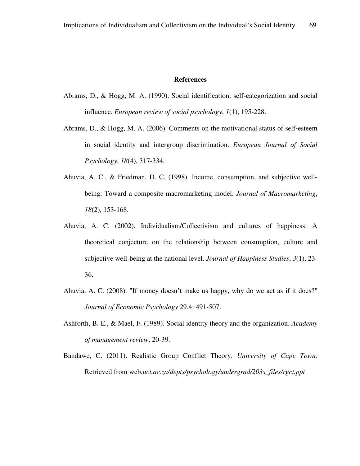## **References**

- Abrams, D., & Hogg, M. A. (1990). Social identification, self-categorization and social influence. *European review of social psychology*, *1*(1), 195-228.
- Abrams, D., & Hogg, M. A. (2006). Comments on the motivational status of self‐esteem in social identity and intergroup discrimination. *European Journal of Social Psychology*, *18*(4), 317-334.
- Ahuvia, A. C., & Friedman, D. C. (1998). Income, consumption, and subjective wellbeing: Toward a composite macromarketing model. *Journal of Macromarketing*, *18*(2), 153-168.
- Ahuvia, A. C. (2002). Individualism/Collectivism and cultures of happiness: A theoretical conjecture on the relationship between consumption, culture and subjective well-being at the national level. *Journal of Happiness Studies*, *3*(1), 23- 36.
- Ahuvia, A. C. (2008). "If money doesn't make us happy, why do we act as if it does?" *Journal of Economic Psychology* 29.4: 491-507.
- Ashforth, B. E., & Mael, F. (1989). Social identity theory and the organization. *Academy of management review*, 20-39.
- Bandawe, C. (2011). Realistic Group Conflict Theory. *University of Cape Town.*  Retrieved from web*.uct.ac.za/depts/psychology/undergrad/203s\_files/rgct.ppt*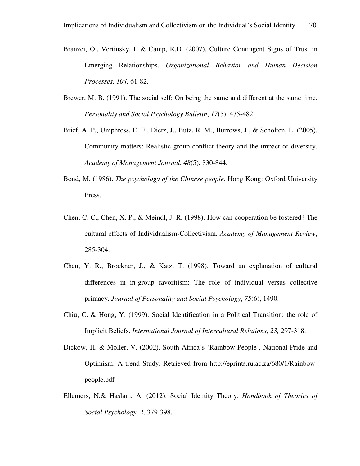- Branzei, O., Vertinsky, I. & Camp, R.D. (2007). Culture Contingent Signs of Trust in Emerging Relationships. *Organizational Behavior and Human Decision Processes, 104,* 61-82.
- Brewer, M. B. (1991). The social self: On being the same and different at the same time. *Personality and Social Psychology Bulletin*, *17*(5), 475-482.
- Brief, A. P., Umphress, E. E., Dietz, J., Butz, R. M., Burrows, J., & Scholten, L. (2005). Community matters: Realistic group conflict theory and the impact of diversity. *Academy of Management Journal*, *48*(5), 830-844.
- Bond, M. (1986). *The psychology of the Chinese people.* Hong Kong: Oxford University Press.
- Chen, C. C., Chen, X. P., & Meindl, J. R. (1998). How can cooperation be fostered? The cultural effects of Individualism-Collectivism. *Academy of Management Review*, 285-304.
- Chen, Y. R., Brockner, J., & Katz, T. (1998). Toward an explanation of cultural differences in in-group favoritism: The role of individual versus collective primacy. *Journal of Personality and Social Psychology*, *75*(6), 1490.
- Chiu, C. & Hong, Y. (1999). Social Identification in a Political Transition: the role of Implicit Beliefs. *International Journal of Intercultural Relations, 23,* 297-318.
- Dickow, H. & Moller, V. (2002). South Africa's 'Rainbow People', National Pride and Optimism: A trend Study. Retrieved from http://eprints.ru.ac.za/680/1/Rainbowpeople.pdf
- Ellemers, N.& Haslam, A. (2012). Social Identity Theory. *Handbook of Theories of Social Psychology, 2,* 379-398.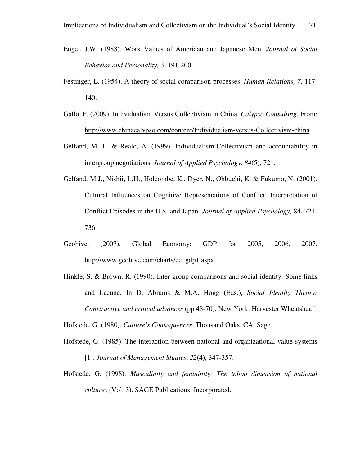- Engel, J.W. (1988). Work Values of American and Japanese Men. *Journal of Social Behavior and Personality,* 3, 191-200.
- Festinger, L. (1954). A theory of social comparison processes. *Human Relations, 7,* 117- 140.
- Gallo, F. (2009). Individualism Versus Collectivism in China. *Calypso Consulting*. From: http://www.chinacalypso.com/content/Individualism-versus-Collectivism-china
- Gelfand, M. J., & Realo, A. (1999). Individualism-Collectivism and accountability in intergroup negotiations. *Journal of Applied Psychology*, *84*(5), 721.
- Gelfand, M.J., Nishii, L.H., Holcombe, K., Dyer, N., Ohbuchi, K. & Fukumo, N. (2001). Cultural Influences on Cognitive Representations of Conflict: Interpretation of Conflict Episodes in the U.S. and Japan. *Journal of Applied Psychology,* 84, 721- 736
- Geohive. (2007). Global Economy: GDP for 2005, 2006, 2007. http://www.geohive.com/charts/ec\_gdp1.aspx
- Hinkle, S. & Brown, R. (1990). Inter-group comparisons and social identity: Some links and Lacune. In D. Abrams & M.A. Hogg (Eds.), *Social Identity Theory: Constructive and critical advances* (pp 48-70). New York: Harvester Wheatsheaf.

Hofstede, G. (1980). *Culture's Consequences.* Thousand Oaks, CA: Sage.

- Hofstede, G. (1985). The interaction between national and organizational value systems [1]. *Journal of Management Studies*, *22*(4), 347-357.
- Hofstede, G. (1998). *Masculinity and femininity: The taboo dimension of national cultures* (Vol. 3). SAGE Publications, Incorporated.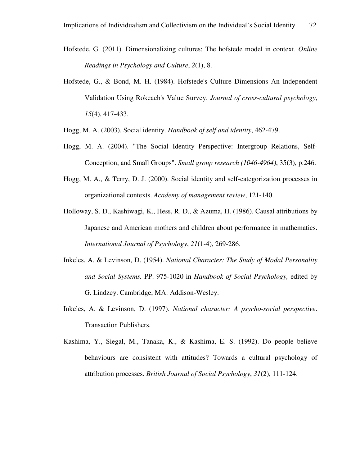- Hofstede, G. (2011). Dimensionalizing cultures: The hofstede model in context. *Online Readings in Psychology and Culture*, *2*(1), 8.
- Hofstede, G., & Bond, M. H. (1984). Hofstede's Culture Dimensions An Independent Validation Using Rokeach's Value Survey. *Journal of cross-cultural psychology*, *15*(4), 417-433.
- Hogg, M. A. (2003). Social identity. *Handbook of self and identity*, 462-479.
- Hogg, M. A. (2004). "The Social Identity Perspective: Intergroup Relations, Self-Conception, and Small Groups". *Small group research (1046-4964)*, 35(3), p.246.
- Hogg, M. A., & Terry, D. J. (2000). Social identity and self-categorization processes in organizational contexts. *Academy of management review*, 121-140.
- Holloway, S. D., Kashiwagi, K., Hess, R. D., & Azuma, H. (1986). Causal attributions by Japanese and American mothers and children about performance in mathematics. *International Journal of Psychology*, *21*(1-4), 269-286.
- Inkeles, A. & Levinson, D. (1954). *National Character: The Study of Modal Personality and Social Systems.* PP. 975-1020 in *Handbook of Social Psychology,* edited by G. Lindzey. Cambridge, MA: Addison-Wesley.
- Inkeles, A. & Levinson, D. (1997). *National character: A psycho-social perspective*. Transaction Publishers.
- Kashima, Y., Siegal, M., Tanaka, K., & Kashima, E. S. (1992). Do people believe behaviours are consistent with attitudes? Towards a cultural psychology of attribution processes. *British Journal of Social Psychology*, *31*(2), 111-124.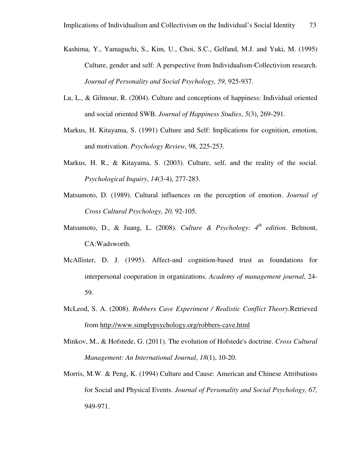- Kashima, Y., Yamaguchi, S., Kim, U., Choi, S.C., Gelfand, M.J. and Yuki, M. (1995) Culture, gender and self: A perspective from Individualism-Collectivism research. *Journal of Personality and Social Psychology, 59,* 925-937.
- Lu, L., & Gilmour, R. (2004). Culture and conceptions of happiness: Individual oriented and social oriented SWB. *Journal of Happiness Studies*, *5*(3), 269-291.
- Markus, H. Kitayama, S. (1991) Culture and Self: Implications for cognition, emotion, and motivation. *Psychology Review,* 98, 225-253.
- Markus, H. R., & Kitayama, S. (2003). Culture, self, and the reality of the social. *Psychological Inquiry*, *14*(3-4), 277-283.
- Matsumoto, D. (1989). Cultural influences on the perception of emotion. *Journal of Cross Cultural Psychology, 20,* 92-105.
- Matsumoto, D., & Juang, L. (2008). *Culture & Psychology: 4th edition.* Belmont, CA:Wadsworth.
- McAllister, D. J. (1995). Affect-and cognition-based trust as foundations for interpersonal cooperation in organizations. *Academy of management journal*, 24- 59.
- McLeod, S. A. (2008). *Robbers Cave Experiment / Realistic Conflict Theory.*Retrieved from http://www.simplypsychology.org/robbers-cave.html
- Minkov, M., & Hofstede, G. (2011). The evolution of Hofstede's doctrine. *Cross Cultural Management: An International Journal*, *18*(1), 10-20.
- Morris, M.W. & Peng, K. (1994) Culture and Cause: American and Chinese Attributions for Social and Physical Events. *Journal of Personality and Social Psychology, 67,*  949-971.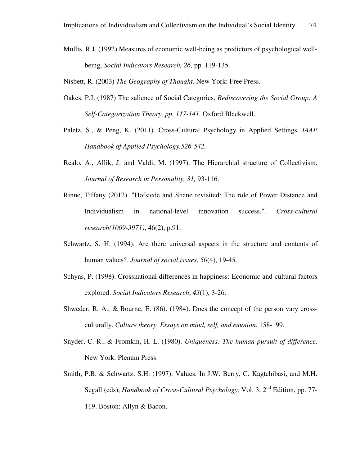Mullis, R.J. (1992) Measures of economic well-being as predictors of psychological wellbeing, *Social Indicators Research, 26,* pp. 119-135.

Nisbett, R. (2003) *The Geography of Thought.* New York: Free Press.

- Oakes, P.J. (1987) The salience of Social Categories. *Rediscovering the Social Group: A Self-Categorization Theory, pp. 117-141.* Oxford:Blackwell.
- Paletz, S., & Peng, K. (2011). Cross-Cultural Psychology in Applied Settings. *IAAP Handbook of Applied Psychology.526-542.*
- Realo, A., Allik, J. and Valdi, M. (1997). The Hierarchial structure of Collectivism. *Journal of Research in Personality, 31,* 93-116.
- Rinne, Tiffany (2012). "Hofstede and Shane revisited: The role of Power Distance and Individualism in national-level innovation success.". *Cross-cultural research(1069-3971)*, 46(2), p.91.
- Schwartz, S. H. (1994). Are there universal aspects in the structure and contents of human values?. *Journal of social issues*, *50*(4), 19-45.
- Schyns, P. (1998). Crossnational differences in happiness: Economic and cultural factors explored. *Social Indicators Research*, *43*(1), 3-26.
- Shweder, R. A., & Bourne, E. (86). (1984). Does the concept of the person vary crossculturally. *Culture theory. Essays on mind, self, and emotion*, 158-199.
- Snyder, C. R., & Fromkin, H. L. (1980). *Uniqueness: The human pursuit of difference*. New York: Plenum Press.
- Smith, P.B. & Schwartz, S.H. (1997). Values. In J.W. Berry, C. Kagtchibasi, and M.H. Segall (eds), *Handbook of Cross-Cultural Psychology,* Vol. 3, 2nd Edition, pp. 77- 119. Boston: Allyn & Bacon.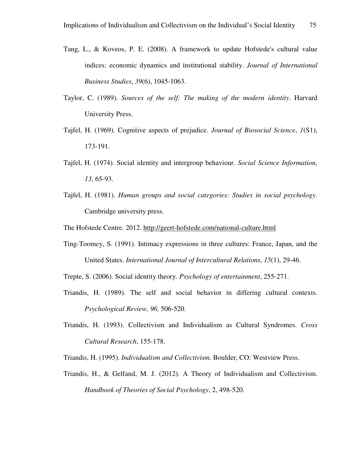- Tang, L., & Koveos, P. E. (2008). A framework to update Hofstede's cultural value indices: economic dynamics and institutional stability. *Journal of International Business Studies*, *39*(6), 1045-1063.
- Taylor, C. (1989). *Sources of the self: The making of the modern identity*. Harvard University Press.
- Tajfel, H. (1969). Cognitive aspects of prejudice. *Journal of Biosocial Science*, *1*(S1), 173-191.
- Tajfel, H. (1974). Social identity and intergroup behaviour. *Social Science Information, 13,* 65-93.
- Tajfel, H. (1981). *Human groups and social categories: Studies in social psychology*. Cambridge university press.

The Hofstede Centre. 2012. http://geert-hofstede.com/national-culture.html

Ting-Toomey, S. (1991). Intimacy expressions in three cultures: France, Japan, and the United States. *International Journal of Intercultural Relations*, *15*(1), 29-46.

Trepte, S. (2006). Social identity theory. *Psychology of entertainment*, 255-271.

- Triandis, H. (1989). The self and social behavior in differing cultural contexts. *Psychological Review, 96,* 506-520.
- Triandis, H. (1993). Collectivism and Individualism as Cultural Syndromes. *Cross Cultural Research*, 155-178.

Triandis, H. (1995). *Individualism and Collectivism.* Boulder, CO: Westview Press.

Triandis, H., & Gelfand, M. J. (2012). A Theory of Individualism and Collectivism. *Handbook of Theories of Social Psychology*, 2, 498-520.